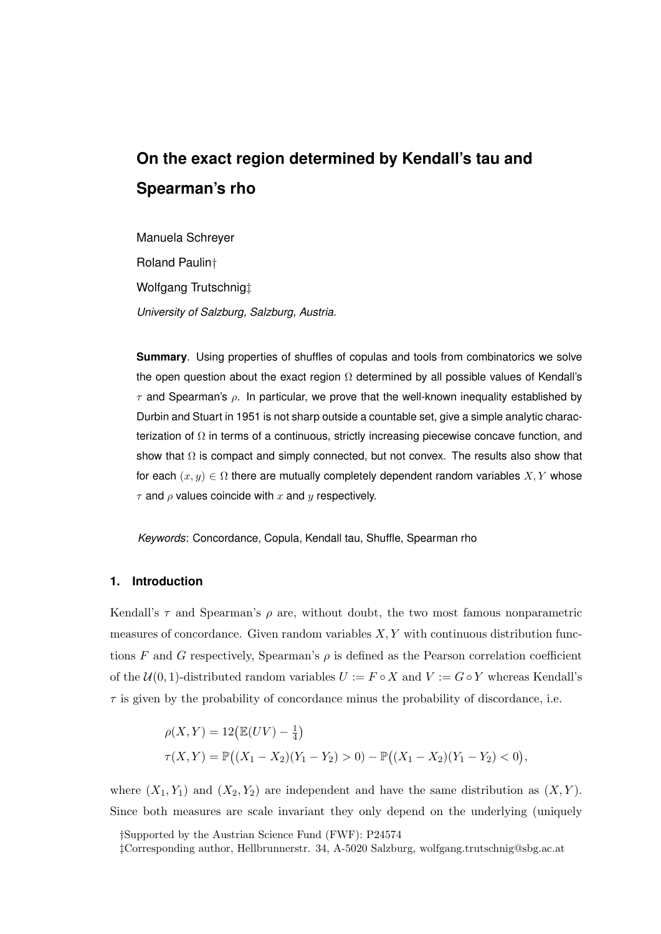# **On the exact region determined by Kendall's tau and Spearman's rho**

Manuela Schreyer Roland Paulin† Wolfgang Trutschnig‡ *University of Salzburg, Salzburg, Austria.*

**Summary**. Using properties of shuffles of copulas and tools from combinatorics we solve the open question about the exact region  $\Omega$  determined by all possible values of Kendall's  $\tau$  and Spearman's  $\rho$ . In particular, we prove that the well-known inequality established by Durbin and Stuart in 1951 is not sharp outside a countable set, give a simple analytic characterization of  $Ω$  in terms of a continuous, strictly increasing piecewise concave function, and show that  $\Omega$  is compact and simply connected, but not convex. The results also show that for each  $(x, y) \in \Omega$  there are mutually completely dependent random variables X, Y whose  $\tau$  and  $\rho$  values coincide with x and y respectively.

*Keywords*: Concordance, Copula, Kendall tau, Shuffle, Spearman rho

# **1. Introduction**

Kendall's  $\tau$  and Spearman's  $\rho$  are, without doubt, the two most famous nonparametric measures of concordance. Given random variables  $X, Y$  with continuous distribution functions F and G respectively, Spearman's  $\rho$  is defined as the Pearson correlation coefficient of the  $U(0, 1)$ -distributed random variables  $U := F \circ X$  and  $V := G \circ Y$  whereas Kendall's  $\tau$  is given by the probability of concordance minus the probability of discordance, i.e.

$$
\rho(X,Y) = 12(\mathbb{E}(UV) - \frac{1}{4})
$$
  
\n
$$
\tau(X,Y) = \mathbb{P}((X_1 - X_2)(Y_1 - Y_2) > 0) - \mathbb{P}((X_1 - X_2)(Y_1 - Y_2) < 0),
$$

where  $(X_1, Y_1)$  and  $(X_2, Y_2)$  are independent and have the same distribution as  $(X, Y)$ . Since both measures are scale invariant they only depend on the underlying (uniquely

†Supported by the Austrian Science Fund (FWF): P24574

<sup>‡</sup>Corresponding author, Hellbrunnerstr. 34, A-5020 Salzburg, wolfgang.trutschnig@sbg.ac.at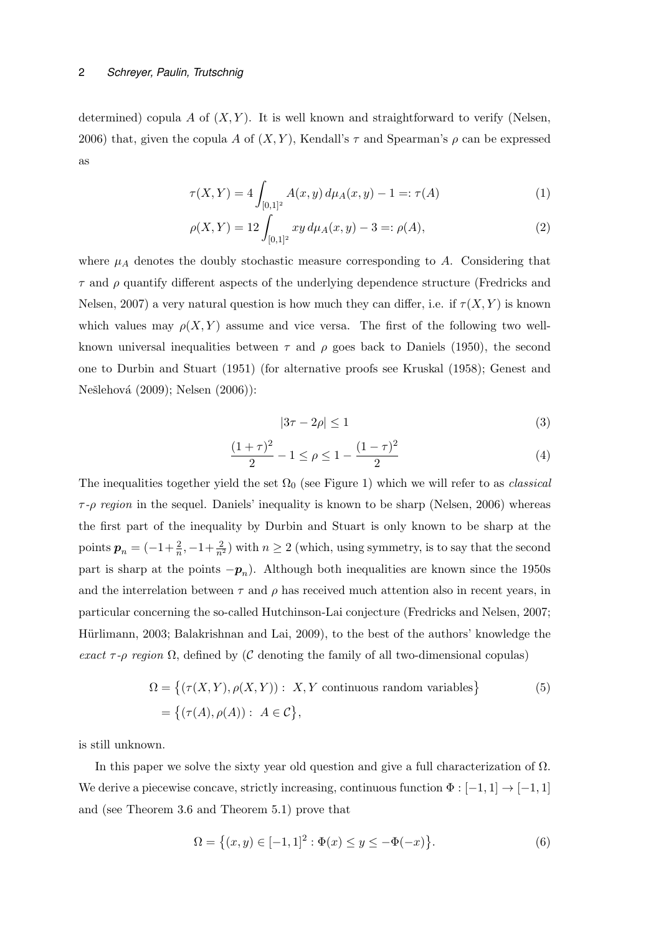determined) copula A of  $(X, Y)$ . It is well known and straightforward to verify (Nelsen, 2006) that, given the copula A of  $(X, Y)$ , Kendall's  $\tau$  and Spearman's  $\rho$  can be expressed as

$$
\tau(X,Y) = 4 \int_{[0,1]^2} A(x,y) \, d\mu_A(x,y) - 1 =: \tau(A) \tag{1}
$$

$$
\rho(X,Y) = 12 \int_{[0,1]^2} xy \, d\mu_A(x,y) - 3 =: \rho(A), \tag{2}
$$

where  $\mu_A$  denotes the doubly stochastic measure corresponding to A. Considering that  $\tau$  and  $\rho$  quantify different aspects of the underlying dependence structure (Fredricks and Nelsen, 2007) a very natural question is how much they can differ, i.e. if  $\tau(X, Y)$  is known which values may  $\rho(X, Y)$  assume and vice versa. The first of the following two wellknown universal inequalities between  $\tau$  and  $\rho$  goes back to Daniels (1950), the second one to Durbin and Stuart (1951) (for alternative proofs see Kruskal (1958); Genest and Nešlehová (2009); Nelsen (2006)):

$$
|3\tau - 2\rho| \le 1\tag{3}
$$

$$
\frac{(1+\tau)^2}{2} - 1 \le \rho \le 1 - \frac{(1-\tau)^2}{2} \tag{4}
$$

The inequalities together yield the set  $\Omega_0$  (see Figure 1) which we will refer to as *classical*  $\tau$ -ρ region in the sequel. Daniels' inequality is known to be sharp (Nelsen, 2006) whereas the first part of the inequality by Durbin and Stuart is only known to be sharp at the points  $p_n = (-1 + \frac{2}{n}, -1 + \frac{2}{n^2})$  with  $n \ge 2$  (which, using symmetry, is to say that the second part is sharp at the points  $-p_n$ ). Although both inequalities are known since the 1950s and the interrelation between  $\tau$  and  $\rho$  has received much attention also in recent years, in particular concerning the so-called Hutchinson-Lai conjecture (Fredricks and Nelsen, 2007; Hürlimann, 2003; Balakrishnan and Lai, 2009), to the best of the authors' knowledge the exact  $\tau$ -ρ region  $\Omega$ , defined by (C denoting the family of all two-dimensional copulas)

$$
\Omega = \{ (\tau(X, Y), \rho(X, Y)) : X, Y \text{ continuous random variables} \}
$$
  
=  $\{ (\tau(A), \rho(A)) : A \in \mathcal{C} \},$  (5)

is still unknown.

In this paper we solve the sixty year old question and give a full characterization of  $\Omega$ . We derive a piecewise concave, strictly increasing, continuous function  $\Phi : [-1,1] \to [-1,1]$ and (see Theorem 3.6 and Theorem 5.1) prove that

$$
\Omega = \{(x, y) \in [-1, 1]^2 : \Phi(x) \le y \le -\Phi(-x)\}.
$$
\n(6)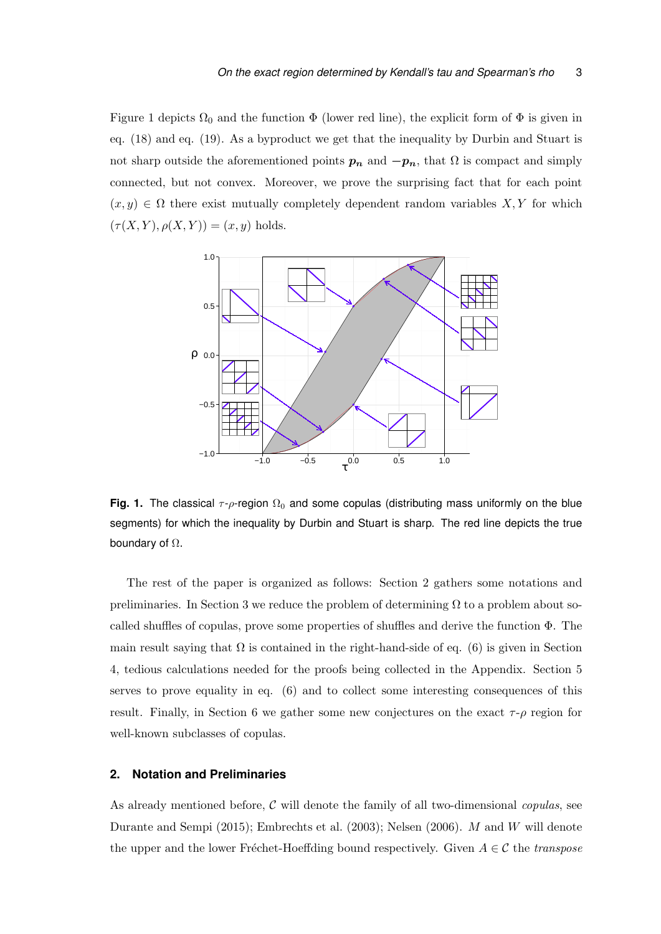Figure 1 depicts  $\Omega_0$  and the function  $\Phi$  (lower red line), the explicit form of  $\Phi$  is given in eq. (18) and eq. (19). As a byproduct we get that the inequality by Durbin and Stuart is not sharp outside the aforementioned points  $p_n$  and  $-p_n$ , that  $\Omega$  is compact and simply connected, but not convex. Moreover, we prove the surprising fact that for each point  $(x, y) \in \Omega$  there exist mutually completely dependent random variables X, Y for which  $(\tau(X, Y), \rho(X, Y)) = (x, y)$  holds.



**Fig. 1.** The classical  $\tau$ -*ρ*-region  $\Omega_0$  and some copulas (distributing mass uniformly on the blue segments) for which the inequality by Durbin and Stuart is sharp. The red line depicts the true boundary of  $\Omega$ .

The rest of the paper is organized as follows: Section 2 gathers some notations and preliminaries. In Section 3 we reduce the problem of determining  $\Omega$  to a problem about socalled shuffles of copulas, prove some properties of shuffles and derive the function Φ. The main result saying that  $\Omega$  is contained in the right-hand-side of eq. (6) is given in Section 4, tedious calculations needed for the proofs being collected in the Appendix. Section 5 serves to prove equality in eq. (6) and to collect some interesting consequences of this result. Finally, in Section 6 we gather some new conjectures on the exact  $\tau$ - $\rho$  region for well-known subclasses of copulas.

#### **2. Notation and Preliminaries**

As already mentioned before,  $\mathcal C$  will denote the family of all two-dimensional *copulas*, see Durante and Sempi (2015); Embrechts et al. (2003); Nelsen (2006). M and W will denote the upper and the lower Fréchet-Hoeffding bound respectively. Given  $A \in \mathcal{C}$  the transpose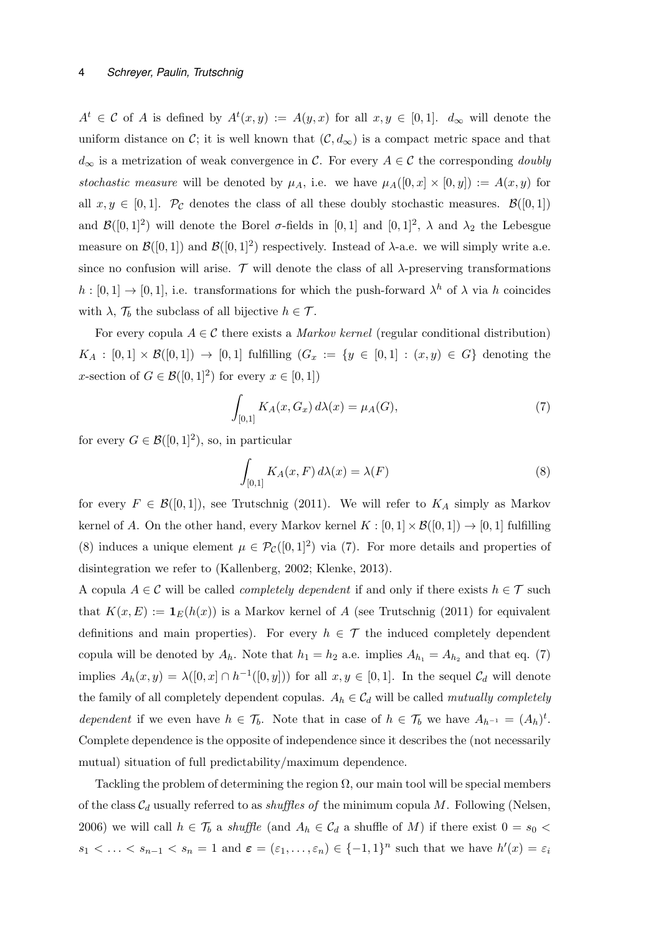$A^t \in \mathcal{C}$  of A is defined by  $A^t(x, y) := A(y, x)$  for all  $x, y \in [0, 1]$ .  $d_{\infty}$  will denote the uniform distance on C; it is well known that  $(C, d_{\infty})$  is a compact metric space and that  $d_{\infty}$  is a metrization of weak convergence in C. For every  $A \in \mathcal{C}$  the corresponding *doubly* stochastic measure will be denoted by  $\mu_A$ , i.e. we have  $\mu_A([0, x] \times [0, y]) := A(x, y)$  for all  $x, y \in [0, 1]$ .  $\mathcal{P}_{\mathcal{C}}$  denotes the class of all these doubly stochastic measures.  $\mathcal{B}([0, 1])$ and  $\mathcal{B}([0,1]^2)$  will denote the Borel  $\sigma$ -fields in  $[0,1]$  and  $[0,1]^2$ ,  $\lambda$  and  $\lambda_2$  the Lebesgue measure on  $\mathcal{B}([0,1])$  and  $\mathcal{B}([0,1]^2)$  respectively. Instead of  $\lambda$ -a.e. we will simply write a.e. since no confusion will arise.  $\mathcal T$  will denote the class of all  $\lambda$ -preserving transformations  $h: [0,1] \to [0,1],$  i.e. transformations for which the push-forward  $\lambda^h$  of  $\lambda$  via h coincides with  $\lambda$ ,  $\mathcal{T}_b$  the subclass of all bijective  $h \in \mathcal{T}$ .

For every copula  $A \in \mathcal{C}$  there exists a *Markov kernel* (regular conditional distribution)  $K_A : [0,1] \times \mathcal{B}([0,1]) \to [0,1]$  fulfilling  $(G_x := \{y \in [0,1] : (x,y) \in G\}$  denoting the x-section of  $G \in \mathcal{B}([0,1]^2)$  for every  $x \in [0,1]$ 

$$
\int_{[0,1]} K_A(x, G_x) \, d\lambda(x) = \mu_A(G),\tag{7}
$$

for every  $G \in \mathcal{B}([0,1]^2)$ , so, in particular

$$
\int_{[0,1]} K_A(x, F) d\lambda(x) = \lambda(F)
$$
\n(8)

for every  $F \in \mathcal{B}([0,1])$ , see Trutschnig (2011). We will refer to  $K_A$  simply as Markov kernel of A. On the other hand, every Markov kernel  $K : [0,1] \times \mathcal{B}([0,1]) \to [0,1]$  fulfilling (8) induces a unique element  $\mu \in \mathcal{P}_{\mathcal{C}}([0,1]^2)$  via (7). For more details and properties of disintegration we refer to (Kallenberg, 2002; Klenke, 2013).

A copula  $A \in \mathcal{C}$  will be called *completely dependent* if and only if there exists  $h \in \mathcal{T}$  such that  $K(x, E) := \mathbf{1}_E(h(x))$  is a Markov kernel of A (see Trutschnig (2011) for equivalent definitions and main properties). For every  $h \in \mathcal{T}$  the induced completely dependent copula will be denoted by  $A_h$ . Note that  $h_1 = h_2$  a.e. implies  $A_{h_1} = A_{h_2}$  and that eq. (7) implies  $A_h(x, y) = \lambda([0, x] \cap h^{-1}([0, y]))$  for all  $x, y \in [0, 1]$ . In the sequel  $\mathcal{C}_d$  will denote the family of all completely dependent copulas.  $A_h \in \mathcal{C}_d$  will be called mutually completely dependent if we even have  $h \in \mathcal{T}_b$ . Note that in case of  $h \in \mathcal{T}_b$  we have  $A_{h^{-1}} = (A_h)^t$ . Complete dependence is the opposite of independence since it describes the (not necessarily mutual) situation of full predictability/maximum dependence.

Tackling the problem of determining the region  $\Omega$ , our main tool will be special members of the class  $C_d$  usually referred to as *shuffles of* the minimum copula M. Following (Nelsen, 2006) we will call  $h \in \mathcal{T}_b$  a shuffle (and  $A_h \in \mathcal{C}_d$  a shuffle of M) if there exist  $0 = s_0$  <  $s_1 < \ldots < s_{n-1} < s_n = 1$  and  $\varepsilon = (\varepsilon_1, \ldots, \varepsilon_n) \in \{-1, 1\}^n$  such that we have  $h'(x) = \varepsilon_i$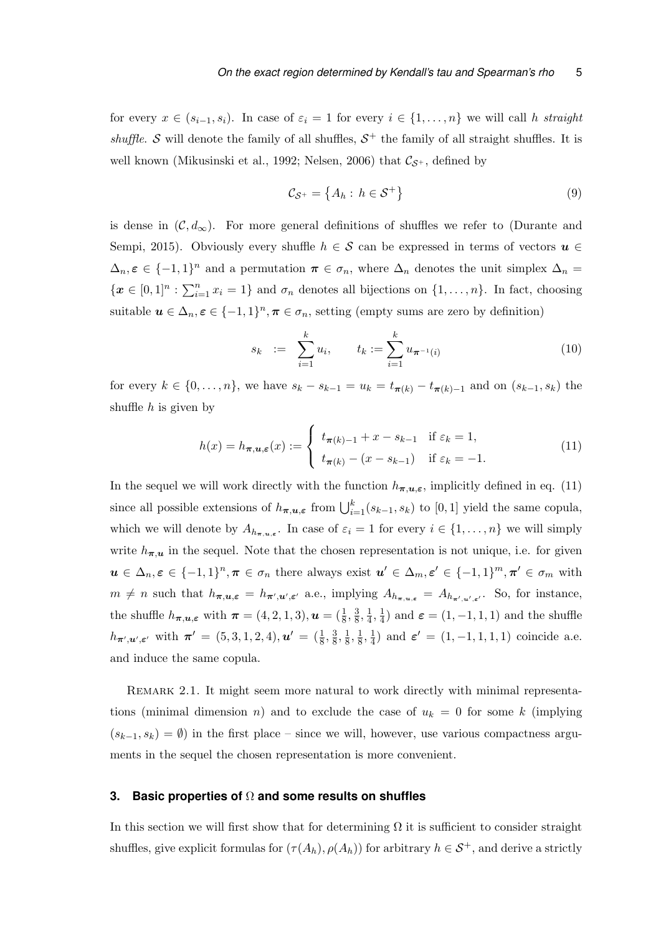for every  $x \in (s_{i-1}, s_i)$ . In case of  $\varepsilon_i = 1$  for every  $i \in \{1, ..., n\}$  we will call h straight shuffle. S will denote the family of all shuffles,  $S^+$  the family of all straight shuffles. It is well known (Mikusinski et al., 1992; Nelsen, 2006) that  $\mathcal{C}_{\mathcal{S}^+}$ , defined by

$$
\mathcal{C}_{\mathcal{S}^+} = \left\{ A_h : h \in \mathcal{S}^+ \right\} \tag{9}
$$

is dense in  $(C, d_{\infty})$ . For more general definitions of shuffles we refer to (Durante and Sempi, 2015). Obviously every shuffle  $h \in \mathcal{S}$  can be expressed in terms of vectors  $u \in$  $\Delta_n, \varepsilon \in \{-1,1\}^n$  and a permutation  $\pi \in \sigma_n$ , where  $\Delta_n$  denotes the unit simplex  $\Delta_n =$  $\{\boldsymbol{x} \in [0,1]^n : \sum_{i=1}^n x_i = 1\}$  and  $\sigma_n$  denotes all bijections on  $\{1,\ldots,n\}$ . In fact, choosing suitable  $u \in \Delta_n$ ,  $\varepsilon \in \{-1,1\}^n$ ,  $\pi \in \sigma_n$ , setting (empty sums are zero by definition)

$$
s_k := \sum_{i=1}^k u_i, \qquad t_k := \sum_{i=1}^k u_{\pi^{-1}(i)} \tag{10}
$$

for every  $k \in \{0, ..., n\}$ , we have  $s_k - s_{k-1} = u_k = t_{\pi(k)} - t_{\pi(k)-1}$  and on  $(s_{k-1}, s_k)$  the shuffle  $h$  is given by

$$
h(x) = h_{\boldsymbol{\pi}, \boldsymbol{u}, \boldsymbol{\varepsilon}}(x) := \begin{cases} t_{\boldsymbol{\pi}(k)-1} + x - s_{k-1} & \text{if } \varepsilon_k = 1, \\ t_{\boldsymbol{\pi}(k)} - (x - s_{k-1}) & \text{if } \varepsilon_k = -1. \end{cases} \tag{11}
$$

In the sequel we will work directly with the function  $h_{\pi,u,\varepsilon}$ , implicitly defined in eq. (11) since all possible extensions of  $h_{\pi,u,\varepsilon}$  from  $\bigcup_{i=1}^k (s_{k-1}, s_k)$  to [0, 1] yield the same copula, which we will denote by  $A_{h_{\pi,u,\varepsilon}}$ . In case of  $\varepsilon_i = 1$  for every  $i \in \{1,\ldots,n\}$  we will simply write  $h_{\pi,u}$  in the sequel. Note that the chosen representation is not unique, i.e. for given  $u \in \Delta_n$ ,  $\varepsilon \in \{-1,1\}^n$ ,  $\pi \in \sigma_n$  there always exist  $u' \in \Delta_m$ ,  $\varepsilon' \in \{-1,1\}^m$ ,  $\pi' \in \sigma_m$  with  $m \neq n$  such that  $h_{\pi,u,\varepsilon} = h_{\pi',u',\varepsilon'}$  a.e., implying  $A_{h_{\pi,u,\varepsilon}} = A_{h_{\pi',u',\varepsilon'}}$ . So, for instance, the shuffle  $h_{\pi, u, \varepsilon}$  with  $\pi = (4, 2, 1, 3), u = (\frac{1}{8}, \frac{3}{8})$  $\frac{3}{8}, \frac{1}{4}$  $\frac{1}{4}, \frac{1}{4}$  $\frac{1}{4}$ ) and  $\varepsilon = (1, -1, 1, 1)$  and the shuffle  $h_{\boldsymbol{\pi}',\boldsymbol{u}',\boldsymbol{\varepsilon}'}$  with  $\boldsymbol{\pi}' = (5,3,1,2,4), \boldsymbol{u}' = (\frac{1}{8},\frac{3}{8})$  $\frac{3}{8}, \frac{1}{8}$  $\frac{1}{8}, \frac{1}{8}$  $\frac{1}{8}, \frac{1}{4}$  $\frac{1}{4}$ ) and  $\varepsilon' = (1, -1, 1, 1, 1)$  coincide a.e. and induce the same copula.

REMARK 2.1. It might seem more natural to work directly with minimal representations (minimal dimension n) and to exclude the case of  $u_k = 0$  for some k (implying  $(s_{k-1}, s_k) = \emptyset$  in the first place – since we will, however, use various compactness arguments in the sequel the chosen representation is more convenient.

### **3. Basic properties of** Ω **and some results on shuffles**

In this section we will first show that for determining  $\Omega$  it is sufficient to consider straight shuffles, give explicit formulas for  $(\tau(A_h), \rho(A_h))$  for arbitrary  $h \in S^+$ , and derive a strictly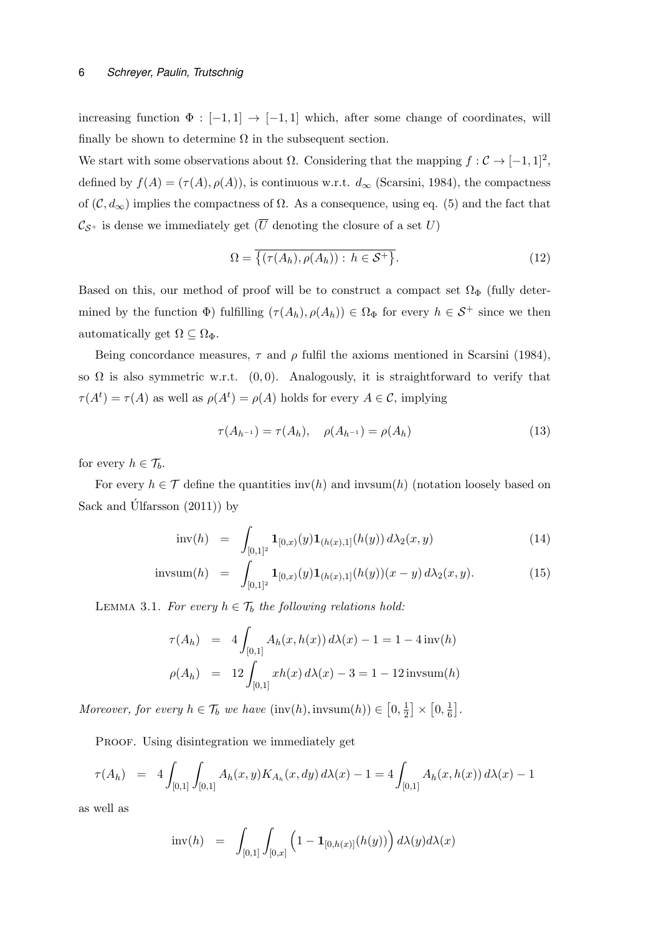#### 6 *Schreyer, Paulin, Trutschnig*

increasing function  $\Phi : [-1,1] \rightarrow [-1,1]$  which, after some change of coordinates, will finally be shown to determine  $\Omega$  in the subsequent section.

We start with some observations about  $\Omega$ . Considering that the mapping  $f: \mathcal{C} \to [-1,1]^2$ , defined by  $f(A) = (\tau(A), \rho(A))$ , is continuous w.r.t.  $d_{\infty}$  (Scarsini, 1984), the compactness of  $(C, d_{\infty})$  implies the compactness of  $\Omega$ . As a consequence, using eq. (5) and the fact that  $\mathcal{C}_{\mathcal{S}^+}$  is dense we immediately get  $(\overline{U})$  denoting the closure of a set U)

$$
\Omega = \overline{\{ (\tau(A_h), \rho(A_h)) : h \in \mathcal{S}^+ \}}.
$$
\n(12)

Based on this, our method of proof will be to construct a compact set  $\Omega_{\Phi}$  (fully determined by the function  $\Phi$ ) fulfilling  $(\tau(A_h), \rho(A_h)) \in \Omega_{\Phi}$  for every  $h \in \mathcal{S}^+$  since we then automatically get  $\Omega \subseteq \Omega_{\Phi}$ .

Being concordance measures,  $\tau$  and  $\rho$  fulfil the axioms mentioned in Scarsini (1984), so  $\Omega$  is also symmetric w.r.t.  $(0, 0)$ . Analogously, it is straightforward to verify that  $\tau(A^t) = \tau(A)$  as well as  $\rho(A^t) = \rho(A)$  holds for every  $A \in \mathcal{C}$ , implying

$$
\tau(A_{h^{-1}}) = \tau(A_h), \quad \rho(A_{h^{-1}}) = \rho(A_h)
$$
\n(13)

for every  $h \in \mathcal{T}_b$ .

For every  $h \in \mathcal{T}$  define the quantities inv(h) and invsum(h) (notation loosely based on Sack and Úlfarsson  $(2011)$ ) by

$$
\text{inv}(h) = \int_{[0,1]^2} \mathbf{1}_{[0,x)}(y) \mathbf{1}_{(h(x),1]}(h(y)) d\lambda_2(x,y) \tag{14}
$$

$$
\text{invsum}(h) = \int_{[0,1]^2} \mathbf{1}_{[0,x)}(y) \mathbf{1}_{(h(x),1]}(h(y))(x-y) \, d\lambda_2(x,y). \tag{15}
$$

LEMMA 3.1. For every  $h \in \mathcal{T}_b$  the following relations hold:

$$
\tau(A_h) = 4 \int_{[0,1]} A_h(x, h(x)) d\lambda(x) - 1 = 1 - 4 \operatorname{inv}(h)
$$

$$
\rho(A_h) = 12 \int_{[0,1]} xh(x) d\lambda(x) - 3 = 1 - 12 \operatorname{invsum}(h)
$$

Moreover, for every  $h \in \mathcal{T}_b$  we have  $(\text{inv}(h), \text{invsum}(h)) \in [0, \frac{1}{2}]$  $\frac{1}{2}$   $\times$   $\left[0, \frac{1}{6}\right]$  $\frac{1}{6}$ .

PROOF. Using disintegration we immediately get

$$
\tau(A_h) = 4 \int_{[0,1]} \int_{[0,1]} A_h(x,y) K_{A_h}(x,dy) d\lambda(x) - 1 = 4 \int_{[0,1]} A_h(x,h(x)) d\lambda(x) - 1
$$

as well as

$$
\mathrm{inv}(h) \;\; = \;\; \int_{[0,1]} \int_{[0,x]} \left( 1 - \mathbf{1}_{[0,h(x)]}(h(y)) \right) d\lambda(y) d\lambda(x)
$$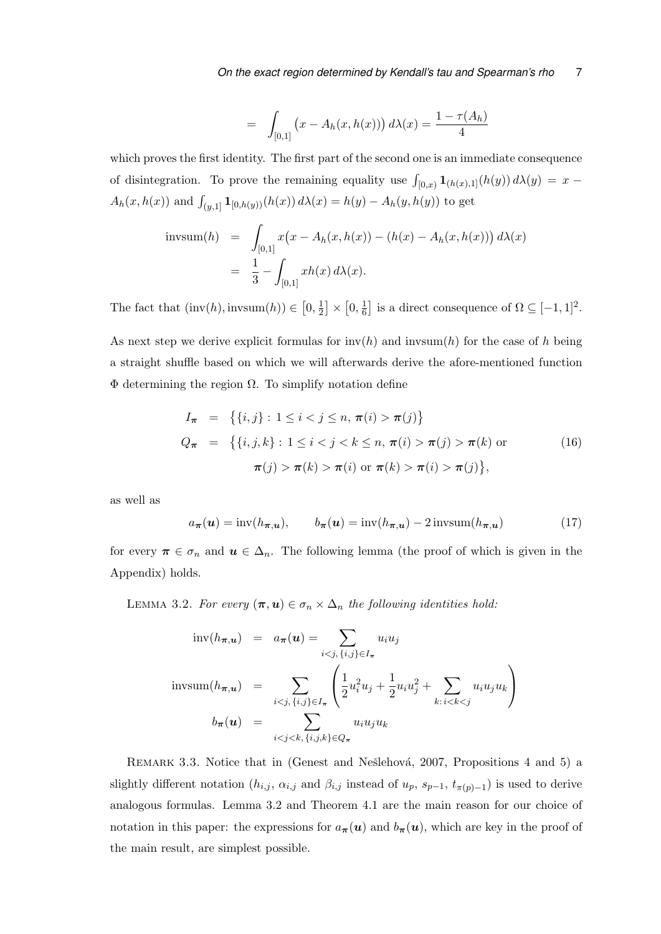$$
= \int_{[0,1]} (x - A_h(x, h(x))) d\lambda(x) = \frac{1 - \tau(A_h)}{4}
$$

which proves the first identity. The first part of the second one is an immediate consequence of disintegration. To prove the remaining equality use  $\int_{[0,x)} \mathbf{1}_{(h(x),1]}(h(y)) d\lambda(y) = x A_h(x, h(x))$  and  $\int_{(y,1]} \mathbf{1}_{[0,h(y))}(h(x)) d\lambda(x) = h(y) - A_h(y, h(y))$  to get

$$
\text{invsum}(h) = \int_{[0,1]} x(x - A_h(x, h(x)) - (h(x) - A_h(x, h(x))) \, d\lambda(x)
$$
\n
$$
= \frac{1}{3} - \int_{[0,1]} xh(x) \, d\lambda(x).
$$

The fact that  $(\text{inv}(h), \text{invsum}(h)) \in [0, \frac{1}{2}]$  $\frac{1}{2}$   $\times$   $\left[0, \frac{1}{6}\right]$  $\frac{1}{6}$  is a direct consequence of  $\Omega \subseteq [-1, 1]^2$ .

As next step we derive explicit formulas for  $\text{inv}(h)$  and  $\text{invsum}(h)$  for the case of h being a straight shuffle based on which we will afterwards derive the afore-mentioned function  $Φ$  determining the region  $Ω$ . To simplify notation define

$$
I_{\pi} = \left\{ \{i, j\} : 1 \le i < j \le n, \pi(i) > \pi(j) \right\}
$$
  
\n
$$
Q_{\pi} = \left\{ \{i, j, k\} : 1 \le i < j < k \le n, \pi(i) > \pi(j) > \pi(k) \text{ or } \pi(j) > \pi(k) > \pi(j) \right\}
$$
\n
$$
(16)
$$
  
\n
$$
\pi(j) > \pi(k) > \pi(i) \text{ or } \pi(k) > \pi(i) > \pi(j) \}
$$

as well as

$$
a_{\boldsymbol{\pi}}(\boldsymbol{u}) = \text{inv}(h_{\boldsymbol{\pi},\boldsymbol{u}}), \qquad b_{\boldsymbol{\pi}}(\boldsymbol{u}) = \text{inv}(h_{\boldsymbol{\pi},\boldsymbol{u}}) - 2\,\text{invsum}(h_{\boldsymbol{\pi},\boldsymbol{u}}) \tag{17}
$$

for every  $\pi \in \sigma_n$  and  $u \in \Delta_n$ . The following lemma (the proof of which is given in the Appendix) holds.

LEMMA 3.2. For every  $(\pi, u) \in \sigma_n \times \Delta_n$  the following identities hold:

$$
\text{inv}(h_{\boldsymbol{\pi},\boldsymbol{u}}) = a_{\boldsymbol{\pi}}(\boldsymbol{u}) = \sum_{i < j, \{i,j\} \in I_{\boldsymbol{\pi}}} u_i u_j
$$
\n
$$
\text{invsum}(h_{\boldsymbol{\pi},\boldsymbol{u}}) = \sum_{i < j, \{i,j\} \in I_{\boldsymbol{\pi}}} \left( \frac{1}{2} u_i^2 u_j + \frac{1}{2} u_i u_j^2 + \sum_{k:\, i < k < j} u_i u_j u_k \right)
$$
\n
$$
b_{\boldsymbol{\pi}}(\boldsymbol{u}) = \sum_{i < j < k, \{i,j,k\} \in Q_{\boldsymbol{\pi}}} u_i u_j u_k
$$

REMARK 3.3. Notice that in (Genest and Nešlehová, 2007, Propositions 4 and 5) a slightly different notation  $(h_{i,j}, \alpha_{i,j} \text{ and } \beta_{i,j} \text{ instead of } u_p, s_{p-1}, t_{\pi(p)-1})$  is used to derive analogous formulas. Lemma 3.2 and Theorem 4.1 are the main reason for our choice of notation in this paper: the expressions for  $a_{\pi}(u)$  and  $b_{\pi}(u)$ , which are key in the proof of the main result, are simplest possible.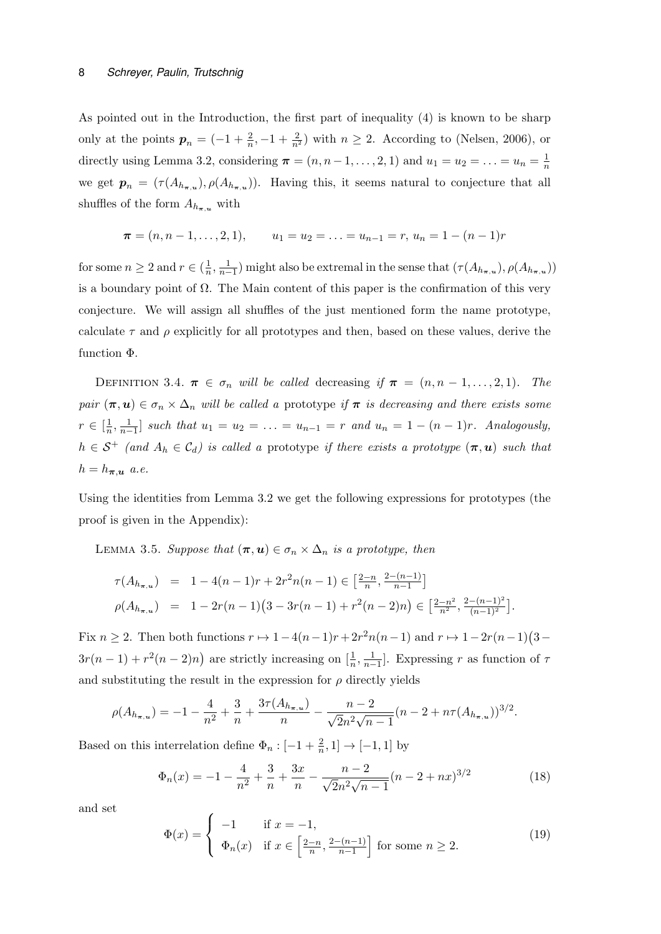As pointed out in the Introduction, the first part of inequality (4) is known to be sharp only at the points  $p_n = (-1 + \frac{2}{n}, -1 + \frac{2}{n^2})$  with  $n \ge 2$ . According to (Nelsen, 2006), or directly using Lemma 3.2, considering  $\pi = (n, n-1, \ldots, 2, 1)$  and  $u_1 = u_2 = \ldots = u_n = \frac{1}{n}$ n we get  $p_n = (\tau(A_{h_{\pi,u}}), \rho(A_{h_{\pi,u}}))$ . Having this, it seems natural to conjecture that all shuffles of the form  $A_{h_{\pi,u}}$  with

$$
\boldsymbol{\pi} = (n, n-1, \ldots, 2, 1), \qquad u_1 = u_2 = \ldots = u_{n-1} = r, \ u_n = 1 - (n-1)r
$$

for some  $n \geq 2$  and  $r \in (\frac{1}{n})$  $\frac{1}{n}, \frac{1}{n-1}$ ) might also be extremal in the sense that  $(\tau(A_{h_{\pi,u}}), \rho(A_{h_{\pi,u}}))$ is a boundary point of  $\Omega$ . The Main content of this paper is the confirmation of this very conjecture. We will assign all shuffles of the just mentioned form the name prototype, calculate  $\tau$  and  $\rho$  explicitly for all prototypes and then, based on these values, derive the function Φ.

DEFINITION 3.4.  $\pi \in \sigma_n$  will be called decreasing if  $\pi = (n, n-1, \ldots, 2, 1)$ . The pair  $(\pi, u) \in \sigma_n \times \Delta_n$  will be called a prototype if  $\pi$  is decreasing and there exists some  $r \in \left[\frac{1}{n}\right]$  $\frac{1}{n}, \frac{1}{n-1}$  such that  $u_1 = u_2 = \ldots = u_{n-1} = r$  and  $u_n = 1 - (n-1)r$ . Analogously,  $h \in S^+$  (and  $A_h \in C_d$ ) is called a prototype if there exists a prototype  $(\pi, u)$  such that  $h = h_{\boldsymbol{\pi}, \boldsymbol{u}}$  a.e.

Using the identities from Lemma 3.2 we get the following expressions for prototypes (the proof is given in the Appendix):

LEMMA 3.5. Suppose that  $(\pi, u) \in \sigma_n \times \Delta_n$  is a prototype, then

$$
\tau(A_{h_{\pi,u}}) = 1 - 4(n-1)r + 2r^2n(n-1) \in \left[\frac{2-n}{n}, \frac{2-(n-1)}{n-1}\right]
$$
  

$$
\rho(A_{h_{\pi,u}}) = 1 - 2r(n-1)(3 - 3r(n-1) + r^2(n-2)n) \in \left[\frac{2-n^2}{n^2}, \frac{2-(n-1)^2}{(n-1)^2}\right].
$$

Fix  $n \geq 2$ . Then both functions  $r \mapsto 1 - 4(n-1)r + 2r^2n(n-1)$  and  $r \mapsto 1 - 2r(n-1)(3 3r(n-1) + r^2(n-2)n$  are strictly increasing on  $[\frac{1}{n}, \frac{1}{n-1}]$ . Expressing r as function of  $\tau$ and substituting the result in the expression for  $\rho$  directly yields

$$
\rho(A_{h_{\pi,u}}) = -1 - \frac{4}{n^2} + \frac{3}{n} + \frac{3\tau(A_{h_{\pi,u}})}{n} - \frac{n-2}{\sqrt{2n^2\sqrt{n-1}}} (n-2 + n\tau(A_{h_{\pi,u}}))^{3/2}.
$$

Based on this interrelation define  $\Phi_n : [-1 + \frac{2}{n}, 1] \to [-1, 1]$  by

$$
\Phi_n(x) = -1 - \frac{4}{n^2} + \frac{3}{n} + \frac{3x}{n} - \frac{n-2}{\sqrt{2}n^2\sqrt{n-1}}(n-2+nx)^{3/2}
$$
(18)

and set

$$
\Phi(x) = \begin{cases}\n-1 & \text{if } x = -1, \\
\Phi_n(x) & \text{if } x \in \left[\frac{2-n}{n}, \frac{2-(n-1)}{n-1}\right] \text{ for some } n \ge 2.\n\end{cases}
$$
\n(19)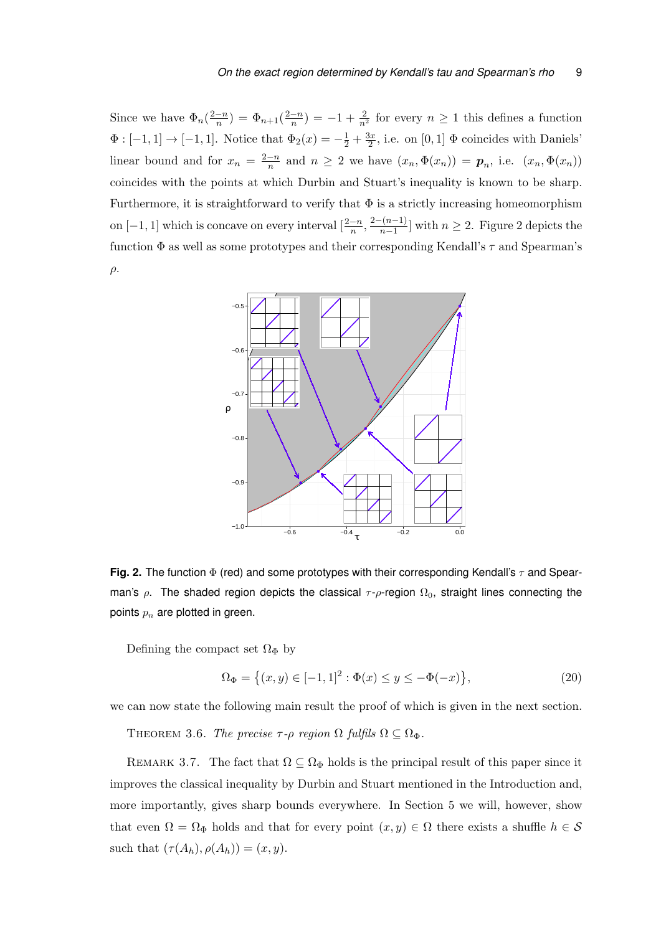Since we have  $\Phi_n(\frac{2-n}{n})$  $\frac{-n}{n}$ ) =  $\Phi_{n+1}(\frac{2-n}{n})$  $\frac{-n}{n}$ ) =  $-1 + \frac{2}{n^2}$  for every  $n \ge 1$  this defines a function  $\Phi: [-1,1] \to [-1,1]$ . Notice that  $\Phi_2(x) = -\frac{1}{2} + \frac{3x}{2}$  $\frac{3x}{2}$ , i.e. on [0, 1]  $\Phi$  coincides with Daniels' linear bound and for  $x_n = \frac{2-n}{n}$  $\frac{-n}{n}$  and  $n \geq 2$  we have  $(x_n, \Phi(x_n)) = p_n$ , i.e.  $(x_n, \Phi(x_n))$ coincides with the points at which Durbin and Stuart's inequality is known to be sharp. Furthermore, it is straightforward to verify that  $\Phi$  is a strictly increasing homeomorphism on  $[-1, 1]$  which is concave on every interval  $\left[\frac{2-n}{n}, \frac{2-(n-1)}{n-1}\right]$  $\frac{n-1}{n-1}$  with  $n \geq 2$ . Figure 2 depicts the function  $\Phi$  as well as some prototypes and their corresponding Kendall's  $\tau$  and Spearman's  $\rho$ .



**Fig. 2.** The function  $\Phi$  (red) and some prototypes with their corresponding Kendall's  $\tau$  and Spearman's  $\rho$ . The shaded region depicts the classical  $\tau$ - $\rho$ -region  $\Omega_0$ , straight lines connecting the points  $p_n$  are plotted in green.

Defining the compact set  $\Omega_{\Phi}$  by

$$
\Omega_{\Phi} = \left\{ (x, y) \in [-1, 1]^2 : \Phi(x) \le y \le -\Phi(-x) \right\},\tag{20}
$$

we can now state the following main result the proof of which is given in the next section.

THEOREM 3.6. The precise  $\tau$ - $\rho$  region  $\Omega$  fulfils  $\Omega \subseteq \Omega_{\Phi}$ .

REMARK 3.7. The fact that  $\Omega \subseteq \Omega_{\Phi}$  holds is the principal result of this paper since it improves the classical inequality by Durbin and Stuart mentioned in the Introduction and, more importantly, gives sharp bounds everywhere. In Section 5 we will, however, show that even  $\Omega = \Omega_{\Phi}$  holds and that for every point  $(x, y) \in \Omega$  there exists a shuffle  $h \in \mathcal{S}$ such that  $(\tau(A_h), \rho(A_h)) = (x, y)$ .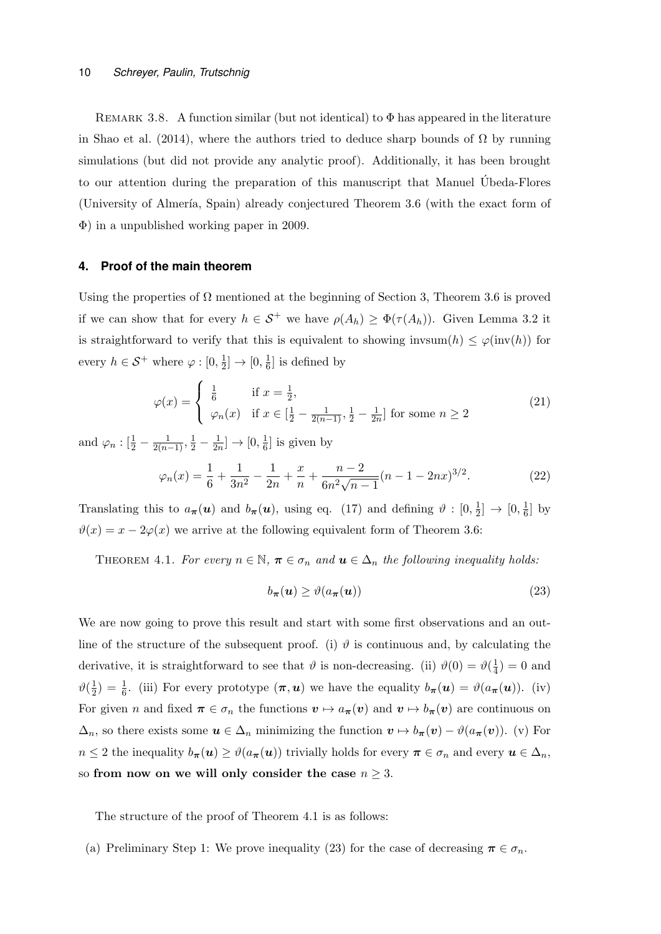REMARK 3.8. A function similar (but not identical) to  $\Phi$  has appeared in the literature in Shao et al. (2014), where the authors tried to deduce sharp bounds of  $\Omega$  by running simulations (but did not provide any analytic proof). Additionally, it has been brought to our attention during the preparation of this manuscript that Manuel Ubeda-Flores ´ (University of Almería, Spain) already conjectured Theorem 3.6 (with the exact form of Φ) in a unpublished working paper in 2009.

#### **4. Proof of the main theorem**

Using the properties of  $\Omega$  mentioned at the beginning of Section 3, Theorem 3.6 is proved if we can show that for every  $h \in S^+$  we have  $\rho(A_h) \geq \Phi(\tau(A_h))$ . Given Lemma 3.2 it is straightforward to verify that this is equivalent to showing invsum $(h) \leq \varphi(\text{inv}(h))$  for every  $h \in \mathcal{S}^+$  where  $\varphi : [0, \frac{1}{2}]$  $\frac{1}{2}] \to [0, \frac{1}{6}]$  $\frac{1}{6}$  is defined by

$$
\varphi(x) = \begin{cases} \frac{1}{6} & \text{if } x = \frac{1}{2}, \\ \varphi_n(x) & \text{if } x \in [\frac{1}{2} - \frac{1}{2(n-1)}, \frac{1}{2} - \frac{1}{2n}] \text{ for some } n \ge 2 \end{cases}
$$
(21)

and  $\varphi_n : \left[\frac{1}{2} - \frac{1}{2(n-1)}, \frac{1}{2} - \frac{1}{2n}\right]$  $\frac{1}{2n}] \to [0, \frac{1}{6}]$  $\frac{1}{6}$  is given by

$$
\varphi_n(x) = \frac{1}{6} + \frac{1}{3n^2} - \frac{1}{2n} + \frac{x}{n} + \frac{n-2}{6n^2\sqrt{n-1}}(n-1-2nx)^{3/2}.
$$
 (22)

Translating this to  $a_{\pi}(u)$  and  $b_{\pi}(u)$ , using eq. (17) and defining  $\vartheta:[0, \frac{1}{2}]$  $\frac{1}{2}] \rightarrow [0, \frac{1}{6}]$  $\frac{1}{6}$  by  $\vartheta(x) = x - 2\varphi(x)$  we arrive at the following equivalent form of Theorem 3.6:

THEOREM 4.1. For every  $n \in \mathbb{N}$ ,  $\pi \in \sigma_n$  and  $u \in \Delta_n$  the following inequality holds:

$$
b_{\boldsymbol{\pi}}(\boldsymbol{u}) \ge \vartheta(a_{\boldsymbol{\pi}}(\boldsymbol{u})) \tag{23}
$$

We are now going to prove this result and start with some first observations and an outline of the structure of the subsequent proof. (i)  $\vartheta$  is continuous and, by calculating the derivative, it is straightforward to see that  $\vartheta$  is non-decreasing. (ii)  $\vartheta(0) = \vartheta(\frac{1}{4})$  $(\frac{1}{4}) = 0$  and  $\vartheta(\frac{1}{2})$  $\frac{1}{2}$ ) =  $\frac{1}{6}$ . (iii) For every prototype  $(\pi, u)$  we have the equality  $b_{\pi}(u) = \vartheta(a_{\pi}(u))$ . (iv) For given n and fixed  $\pi \in \sigma_n$  the functions  $v \mapsto a_{\pi}(v)$  and  $v \mapsto b_{\pi}(v)$  are continuous on  $\Delta_n$ , so there exists some  $u \in \Delta_n$  minimizing the function  $v \mapsto b_{\pi}(v) - \vartheta(a_{\pi}(v))$ . (v) For  $n \leq 2$  the inequality  $b_{\pi}(u) \geq \vartheta(a_{\pi}(u))$  trivially holds for every  $\pi \in \sigma_n$  and every  $u \in \Delta_n$ , so from now on we will only consider the case  $n \geq 3$ .

The structure of the proof of Theorem 4.1 is as follows:

(a) Preliminary Step 1: We prove inequality (23) for the case of decreasing  $\pi \in \sigma_n$ .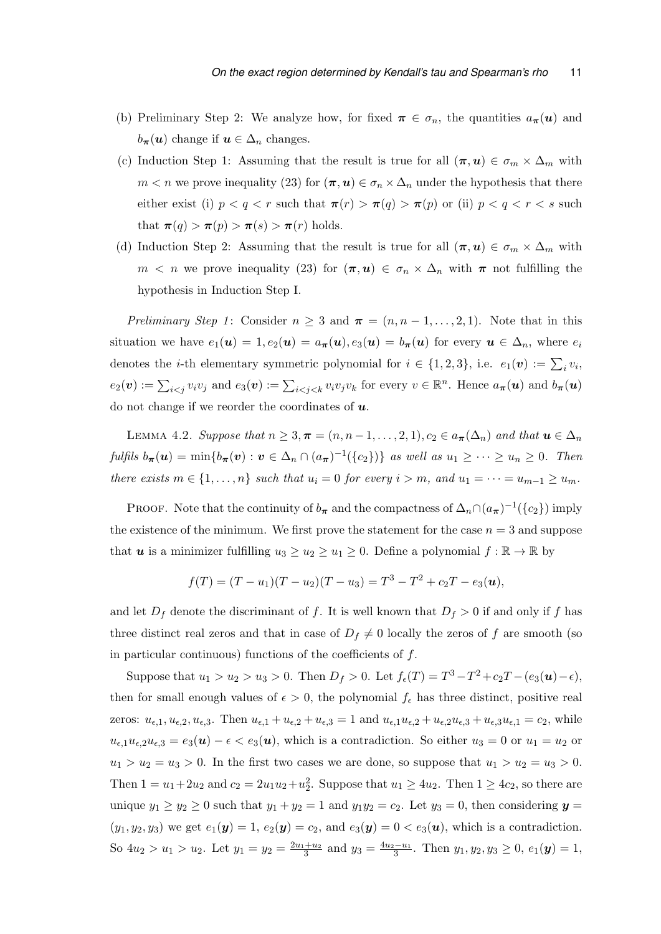- (b) Preliminary Step 2: We analyze how, for fixed  $\pi \in \sigma_n$ , the quantities  $a_{\pi}(u)$  and  $b_{\pi}(u)$  change if  $u \in \Delta_n$  changes.
- (c) Induction Step 1: Assuming that the result is true for all  $(\pi, u) \in \sigma_m \times \Delta_m$  with  $m < n$  we prove inequality (23) for  $(\pi, u) \in \sigma_n \times \Delta_n$  under the hypothesis that there either exist (i)  $p < q < r$  such that  $\pi(r) > \pi(q) > \pi(p)$  or (ii)  $p < q < r < s$  such that  $\pi(q) > \pi(p) > \pi(s) > \pi(r)$  holds.
- (d) Induction Step 2: Assuming that the result is true for all  $(\pi, u) \in \sigma_m \times \Delta_m$  with  $m < n$  we prove inequality (23) for  $(\pi, u) \in \sigma_n \times \Delta_n$  with  $\pi$  not fulfilling the hypothesis in Induction Step I.

*Preliminary Step 1*: Consider  $n \geq 3$  and  $\pi = (n, n-1, \ldots, 2, 1)$ . Note that in this situation we have  $e_1(\mathbf{u}) = 1$ ,  $e_2(\mathbf{u}) = a_{\pi}(\mathbf{u})$ ,  $e_3(\mathbf{u}) = b_{\pi}(\mathbf{u})$  for every  $\mathbf{u} \in \Delta_n$ , where  $e_i$ denotes the *i*-th elementary symmetric polynomial for  $i \in \{1, 2, 3\}$ , i.e.  $e_1(v) := \sum_i v_i$ ,  $e_2(\boldsymbol{v}) := \sum_{i \leq j} v_i v_j$  and  $e_3(\boldsymbol{v}) := \sum_{i \leq j \leq k} v_i v_j v_k$  for every  $v \in \mathbb{R}^n$ . Hence  $a_{\boldsymbol{\pi}}(\boldsymbol{u})$  and  $b_{\boldsymbol{\pi}}(\boldsymbol{u})$ do not change if we reorder the coordinates of  $u$ .

LEMMA 4.2. Suppose that  $n \geq 3, \pi = (n, n-1, \ldots, 2, 1), c_2 \in a_{\pi}(\Delta_n)$  and that  $u \in \Delta_n$ fulfils  $b_{\boldsymbol{\pi}}(\boldsymbol{u}) = \min\{b_{\boldsymbol{\pi}}(\boldsymbol{v}) : \boldsymbol{v} \in \Delta_n \cap (a_{\boldsymbol{\pi}})^{-1}(\{c_2\})\}\$ as well as  $u_1 \geq \cdots \geq u_n \geq 0$ . Then there exists  $m \in \{1, \ldots, n\}$  such that  $u_i = 0$  for every  $i > m$ , and  $u_1 = \cdots = u_{m-1} \ge u_m$ .

PROOF. Note that the continuity of  $b_{\pi}$  and the compactness of  $\Delta_n \cap (a_{\pi})^{-1}(\lbrace c_2 \rbrace)$  imply the existence of the minimum. We first prove the statement for the case  $n = 3$  and suppose that **u** is a minimizer fulfilling  $u_3 \geq u_2 \geq u_1 \geq 0$ . Define a polynomial  $f : \mathbb{R} \to \mathbb{R}$  by

$$
f(T) = (T - u_1)(T - u_2)(T - u_3) = T^3 - T^2 + c_2T - e_3(u),
$$

and let  $D_f$  denote the discriminant of f. It is well known that  $D_f > 0$  if and only if f has three distinct real zeros and that in case of  $D_f \neq 0$  locally the zeros of f are smooth (so in particular continuous) functions of the coefficients of  $f$ .

Suppose that  $u_1 > u_2 > u_3 > 0$ . Then  $D_f > 0$ . Let  $f_{\epsilon}(T) = T^3 - T^2 + c_2T - (e_3(\mathbf{u}) - \epsilon)$ , then for small enough values of  $\epsilon > 0$ , the polynomial  $f_{\epsilon}$  has three distinct, positive real zeros:  $u_{\epsilon,1}, u_{\epsilon,2}, u_{\epsilon,3}$ . Then  $u_{\epsilon,1} + u_{\epsilon,2} + u_{\epsilon,3} = 1$  and  $u_{\epsilon,1}u_{\epsilon,2} + u_{\epsilon,2}u_{\epsilon,3} + u_{\epsilon,3}u_{\epsilon,1} = c_2$ , while  $u_{\epsilon,1}u_{\epsilon,2}u_{\epsilon,3} = e_3(\mathbf{u}) - \epsilon \leq e_3(\mathbf{u})$ , which is a contradiction. So either  $u_3 = 0$  or  $u_1 = u_2$  or  $u_1 > u_2 = u_3 > 0$ . In the first two cases we are done, so suppose that  $u_1 > u_2 = u_3 > 0$ . Then  $1 = u_1 + 2u_2$  and  $c_2 = 2u_1u_2 + u_2^2$ . Suppose that  $u_1 \ge 4u_2$ . Then  $1 \ge 4c_2$ , so there are unique  $y_1 \ge y_2 \ge 0$  such that  $y_1 + y_2 = 1$  and  $y_1y_2 = c_2$ . Let  $y_3 = 0$ , then considering  $y =$  $(y_1, y_2, y_3)$  we get  $e_1(\mathbf{y}) = 1$ ,  $e_2(\mathbf{y}) = c_2$ , and  $e_3(\mathbf{y}) = 0 < e_3(\mathbf{u})$ , which is a contradiction. So  $4u_2 > u_1 > u_2$ . Let  $y_1 = y_2 = \frac{2u_1 + u_2}{3}$  and  $y_3 = \frac{4u_2 - u_1}{3}$ . Then  $y_1, y_2, y_3 \ge 0$ ,  $e_1(\mathbf{y}) = 1$ ,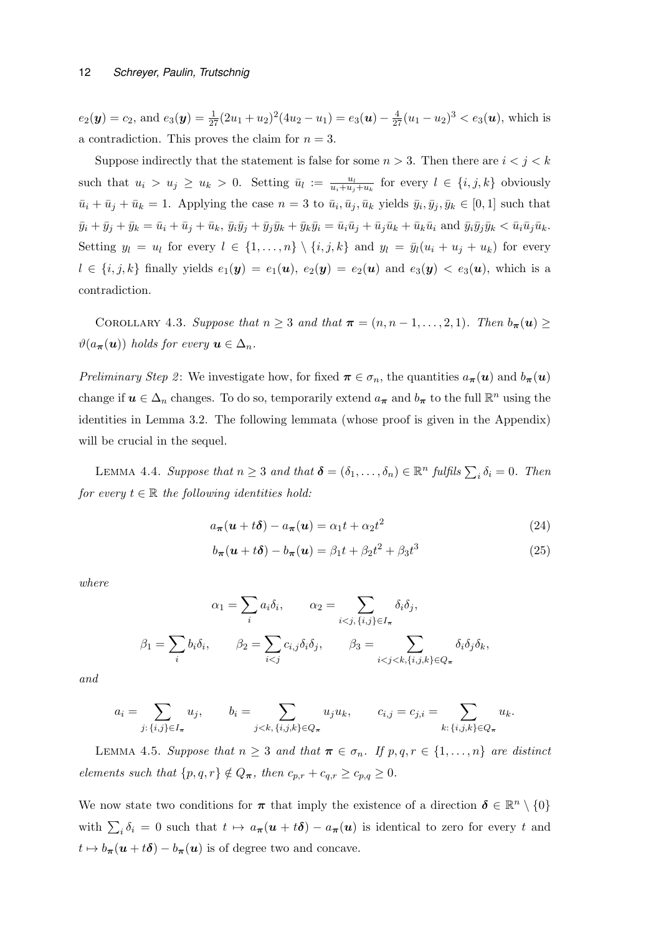$e_2(\mathbf{y}) = c_2$ , and  $e_3(\mathbf{y}) = \frac{1}{27}(2u_1 + u_2)^2(4u_2 - u_1) = e_3(\mathbf{u}) - \frac{4}{27}(u_1 - u_2)^3 < e_3(\mathbf{u})$ , which is a contradiction. This proves the claim for  $n = 3$ .

Suppose indirectly that the statement is false for some  $n > 3$ . Then there are  $i < j < k$ such that  $u_i > u_j \geq u_k > 0$ . Setting  $\bar{u}_l := \frac{u_l}{u_i + u_j + u_k}$  for every  $l \in \{i, j, k\}$  obviously  $\bar{u}_i + \bar{u}_j + \bar{u}_k = 1$ . Applying the case  $n = 3$  to  $\bar{u}_i, \bar{u}_j, \bar{u}_k$  yields  $\bar{y}_i, \bar{y}_j, \bar{y}_k \in [0, 1]$  such that  $\bar{y}_i + \bar{y}_j + \bar{y}_k = \bar{u}_i + \bar{u}_j + \bar{u}_k$ ,  $\bar{y}_i\bar{y}_j + \bar{y}_j\bar{y}_k + \bar{y}_k\bar{y}_i = \bar{u}_i\bar{u}_j + \bar{u}_j\bar{u}_k + \bar{u}_k\bar{u}_i$  and  $\bar{y}_i\bar{y}_j\bar{y}_k < \bar{u}_i\bar{u}_j\bar{u}_k$ . Setting  $y_l = u_l$  for every  $l \in \{1, ..., n\} \setminus \{i, j, k\}$  and  $y_l = \bar{y}_l(u_i + u_j + u_k)$  for every  $l \in \{i, j, k\}$  finally yields  $e_1(\mathbf{y}) = e_1(\mathbf{u}), e_2(\mathbf{y}) = e_2(\mathbf{u})$  and  $e_3(\mathbf{y}) < e_3(\mathbf{u})$ , which is a contradiction.

COROLLARY 4.3. Suppose that  $n \geq 3$  and that  $\pi = (n, n-1, \ldots, 2, 1)$ . Then  $b_{\pi}(u) \geq$  $\vartheta(a_{\pi}(\boldsymbol{u}))$  holds for every  $\boldsymbol{u} \in \Delta_n$ .

Preliminary Step 2: We investigate how, for fixed  $\pi \in \sigma_n$ , the quantities  $a_{\pi}(u)$  and  $b_{\pi}(u)$ change if  $u \in \Delta_n$  changes. To do so, temporarily extend  $a_{\pi}$  and  $b_{\pi}$  to the full  $\mathbb{R}^n$  using the identities in Lemma 3.2. The following lemmata (whose proof is given in the Appendix) will be crucial in the sequel.

LEMMA 4.4. Suppose that  $n \geq 3$  and that  $\boldsymbol{\delta} = (\delta_1, \ldots, \delta_n) \in \mathbb{R}^n$  fulfils  $\sum_i \delta_i = 0$ . Then for every  $t \in \mathbb{R}$  the following identities hold:

$$
a_{\boldsymbol{\pi}}(\boldsymbol{u} + t\boldsymbol{\delta}) - a_{\boldsymbol{\pi}}(\boldsymbol{u}) = \alpha_1 t + \alpha_2 t^2 \tag{24}
$$

$$
b_{\boldsymbol{\pi}}(\boldsymbol{u} + t\boldsymbol{\delta}) - b_{\boldsymbol{\pi}}(\boldsymbol{u}) = \beta_1 t + \beta_2 t^2 + \beta_3 t^3 \tag{25}
$$

where

$$
\alpha_1 = \sum_i a_i \delta_i, \qquad \alpha_2 = \sum_{i < j, \{i, j\} \in I_\pi} \delta_i \delta_j,
$$
\n
$$
\beta_1 = \sum_i b_i \delta_i, \qquad \beta_2 = \sum_{i < j} c_{i,j} \delta_i \delta_j, \qquad \beta_3 = \sum_{i < j < k, \{i, j, k\} \in Q_\pi} \delta_i \delta_j \delta_k,
$$

and

$$
a_i = \sum_{j:\,\{i,j\} \in I_{\pi}} u_j, \qquad b_i = \sum_{j < k,\,\{i,j,k\} \in Q_{\pi}} u_j u_k, \qquad c_{i,j} = c_{j,i} = \sum_{k:\,\{i,j,k\} \in Q_{\pi}} u_k.
$$

LEMMA 4.5. Suppose that  $n \geq 3$  and that  $\pi \in \sigma_n$ . If  $p, q, r \in \{1, ..., n\}$  are distinct elements such that  $\{p,q,r\} \notin Q_{\pi}$ , then  $c_{p,r} + c_{q,r} \geq c_{p,q} \geq 0$ .

We now state two conditions for  $\pi$  that imply the existence of a direction  $\delta \in \mathbb{R}^n \setminus \{0\}$ with  $\sum_i \delta_i = 0$  such that  $t \mapsto a_{\pi}(u + t\delta) - a_{\pi}(u)$  is identical to zero for every t and  $t \mapsto b_{\pi}(\boldsymbol{u} + t\boldsymbol{\delta}) - b_{\pi}(\boldsymbol{u})$  is of degree two and concave.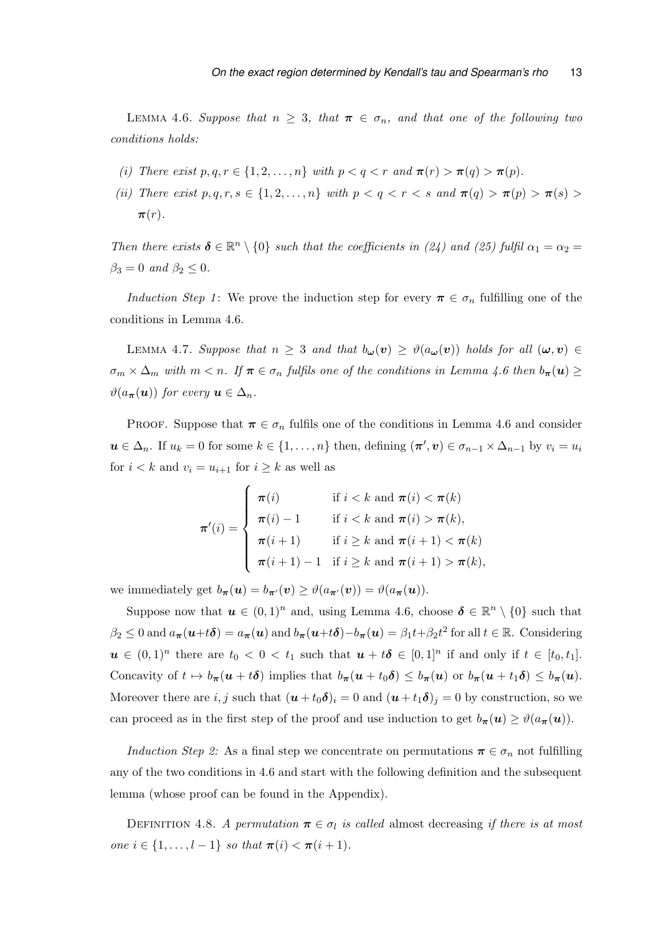LEMMA 4.6. Suppose that  $n \geq 3$ , that  $\pi \in \sigma_n$ , and that one of the following two conditions holds:

- (i) There exist  $p, q, r \in \{1, 2, \ldots, n\}$  with  $p < q < r$  and  $\pi(r) > \pi(q) > \pi(p)$ .
- (ii) There exist  $p, q, r, s \in \{1, 2, \ldots, n\}$  with  $p < q < r < s$  and  $\pi(q) > \pi(p) > \pi(s) >$  $\pi(r)$ .

Then there exists  $\delta \in \mathbb{R}^n \setminus \{0\}$  such that the coefficients in (24) and (25) fulfil  $\alpha_1 = \alpha_2 =$  $\beta_3 = 0$  and  $\beta_2 \leq 0$ .

*Induction Step 1*: We prove the induction step for every  $\pi \in \sigma_n$  fulfilling one of the conditions in Lemma 4.6.

LEMMA 4.7. Suppose that  $n \geq 3$  and that  $b_{\omega}(v) \geq \vartheta(a_{\omega}(v))$  holds for all  $(\omega, v) \in$  $\sigma_m \times \Delta_m$  with  $m < n$ . If  $\pi \in \sigma_n$  fulfils one of the conditions in Lemma 4.6 then  $b_{\pi}(u) \ge$  $\vartheta(a_{\pi}(\boldsymbol{u}))$  for every  $\boldsymbol{u} \in \Delta_n$ .

PROOF. Suppose that  $\pi \in \sigma_n$  fulfils one of the conditions in Lemma 4.6 and consider  $u \in \Delta_n$ . If  $u_k = 0$  for some  $k \in \{1, \ldots, n\}$  then, defining  $(\pi', v) \in \sigma_{n-1} \times \Delta_{n-1}$  by  $v_i = u_i$ for  $i < k$  and  $v_i = u_{i+1}$  for  $i \geq k$  as well as

$$
\pi'(i) = \begin{cases}\n\pi(i) & \text{if } i < k \text{ and } \pi(i) < \pi(k) \\
\pi(i) - 1 & \text{if } i < k \text{ and } \pi(i) > \pi(k), \\
\pi(i+1) & \text{if } i \geq k \text{ and } \pi(i+1) < \pi(k) \\
\pi(i+1) - 1 & \text{if } i \geq k \text{ and } \pi(i+1) > \pi(k),\n\end{cases}
$$

we immediately get  $b_{\pi}(u) = b_{\pi}(v) \geq \vartheta(a_{\pi}(v)) = \vartheta(a_{\pi}(u)).$ 

Suppose now that  $u \in (0,1)^n$  and, using Lemma 4.6, choose  $\delta \in \mathbb{R}^n \setminus \{0\}$  such that  $\beta_2 \leq 0$  and  $a_{\pi}(\boldsymbol{u}+t\boldsymbol{\delta}) = a_{\pi}(\boldsymbol{u})$  and  $b_{\pi}(\boldsymbol{u}+t\boldsymbol{\delta}) - b_{\pi}(\boldsymbol{u}) = \beta_1 t + \beta_2 t^2$  for all  $t \in \mathbb{R}$ . Considering  $u \in (0,1)^n$  there are  $t_0 < 0 < t_1$  such that  $u + t\delta \in [0,1]^n$  if and only if  $t \in [t_0, t_1]$ . Concavity of  $t \mapsto b_{\pi}(u + t\delta)$  implies that  $b_{\pi}(u + t_0\delta) \leq b_{\pi}(u)$  or  $b_{\pi}(u + t_1\delta) \leq b_{\pi}(u)$ . Moreover there are  $i, j$  such that  $(\mathbf{u} + t_0 \delta)_i = 0$  and  $(\mathbf{u} + t_1 \delta)_j = 0$  by construction, so we can proceed as in the first step of the proof and use induction to get  $b_{\pi}(u) \geq \vartheta(a_{\pi}(u))$ .

Induction Step 2: As a final step we concentrate on permutations  $\pi \in \sigma_n$  not fulfilling any of the two conditions in 4.6 and start with the following definition and the subsequent lemma (whose proof can be found in the Appendix).

DEFINITION 4.8. A permutation  $\pi \in \sigma_l$  is called almost decreasing if there is at most one  $i \in \{1, ..., l-1\}$  so that  $\pi(i) < \pi(i+1)$ .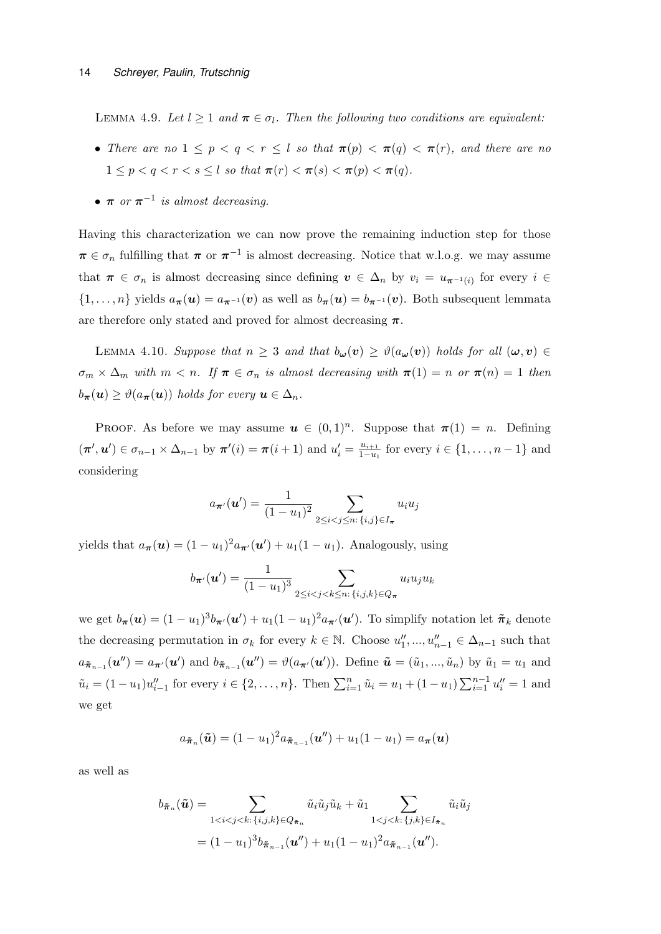LEMMA 4.9. Let  $l \geq 1$  and  $\pi \in \sigma_l$ . Then the following two conditions are equivalent:

- There are no  $1 \leq p \leq q \leq r \leq l$  so that  $\pi(p) \leq \pi(q) \leq \pi(r)$ , and there are no  $1 \leq p \leq q \leq r \leq s \leq l$  so that  $\pi(r) \leq \pi(s) \leq \pi(p) \leq \pi(q)$ .
- $\pi$  or  $\pi^{-1}$  is almost decreasing.

Having this characterization we can now prove the remaining induction step for those  $\pi \in \sigma_n$  fulfilling that  $\pi$  or  $\pi^{-1}$  is almost decreasing. Notice that w.l.o.g. we may assume that  $\pi \in \sigma_n$  is almost decreasing since defining  $v \in \Delta_n$  by  $v_i = u_{\pi^{-1}(i)}$  for every  $i \in$  $\{1,\ldots,n\}$  yields  $a_{\pi}(u) = a_{\pi^{-1}}(v)$  as well as  $b_{\pi}(u) = b_{\pi^{-1}}(v)$ . Both subsequent lemmata are therefore only stated and proved for almost decreasing  $\pi$ .

LEMMA 4.10. Suppose that  $n \geq 3$  and that  $b_{\omega}(v) \geq \vartheta(a_{\omega}(v))$  holds for all  $(\omega, v) \in$  $\sigma_m \times \Delta_m$  with  $m < n$ . If  $\pi \in \sigma_n$  is almost decreasing with  $\pi(1) = n$  or  $\pi(n) = 1$  then  $b_{\boldsymbol{\pi}}(\boldsymbol{u}) \geq \vartheta(a_{\boldsymbol{\pi}}(\boldsymbol{u}))$  holds for every  $\boldsymbol{u} \in \Delta_n$ .

PROOF. As before we may assume  $u \in (0,1)^n$ . Suppose that  $\pi(1) = n$ . Defining  $(\pi', u') \in \sigma_{n-1} \times \Delta_{n-1}$  by  $\pi'(i) = \pi(i+1)$  and  $u'_i = \frac{u_{i+1}}{1-u_i}$  $\frac{u_{i+1}}{1-u_1}$  for every  $i \in \{1, ..., n-1\}$  and considering

$$
a_{\pi'}(\mathbf{u}') = \frac{1}{(1 - u_1)^2} \sum_{2 \le i < j \le n: \{i, j\} \in I_{\pi}} u_i u_j
$$

yields that  $a_{\pi}(\boldsymbol{u}) = (1 - u_1)^2 a_{\pi'}(\boldsymbol{u}') + u_1(1 - u_1)$ . Analogously, using

$$
b_{\pi'}(u') = \frac{1}{(1 - u_1)^3} \sum_{2 \le i < j < k \le n: \{i, j, k\} \in Q_{\pi}} u_i u_j u_k
$$

we get  $b_{\pi}(u) = (1 - u_1)^3 b_{\pi'}(u') + u_1(1 - u_1)^2 a_{\pi'}(u')$ . To simplify notation let  $\tilde{\pi}_k$  denote the decreasing permutation in  $\sigma_k$  for every  $k \in \mathbb{N}$ . Choose  $u''_1, ..., u''_{n-1} \in \Delta_{n-1}$  such that  $a_{\tilde{\pi}_{n-1}}(\boldsymbol{u}'') = a_{\boldsymbol{\pi}'}(\boldsymbol{u}')$  and  $b_{\tilde{\pi}_{n-1}}(\boldsymbol{u}'') = \vartheta(a_{\boldsymbol{\pi}'}(\boldsymbol{u}'))$ . Define  $\tilde{\boldsymbol{u}} = (\tilde{u}_1, ..., \tilde{u}_n)$  by  $\tilde{u}_1 = u_1$  and  $\tilde{u}_i = (1 - u_1)u''_{i-1}$  for every  $i \in \{2, ..., n\}$ . Then  $\sum_{i=1}^n \tilde{u}_i = u_1 + (1 - u_1) \sum_{i=1}^{n-1} u''_i = 1$  and we get

$$
a_{\tilde{\boldsymbol{\pi}}_n}(\tilde{\boldsymbol{u}})=(1-u_1)^2 a_{\tilde{\boldsymbol{\pi}}_{n-1}}(\boldsymbol{u}'') + u_1(1-u_1) = a_{\boldsymbol{\pi}}(\boldsymbol{u})
$$

as well as

$$
b_{\tilde{\pi}_n}(\tilde{\mathbf{u}}) = \sum_{1 < i < j < k: \{i, j, k\} \in Q_{\tilde{\pi}_n}} \tilde{u}_i \tilde{u}_j \tilde{u}_k + \tilde{u}_1 \sum_{1 < j < k: \{j, k\} \in I_{\tilde{\pi}_n}} \tilde{u}_i \tilde{u}_j
$$
\n
$$
= (1 - u_1)^3 b_{\tilde{\pi}_{n-1}}(\mathbf{u}'') + u_1 (1 - u_1)^2 a_{\tilde{\pi}_{n-1}}(\mathbf{u}'').
$$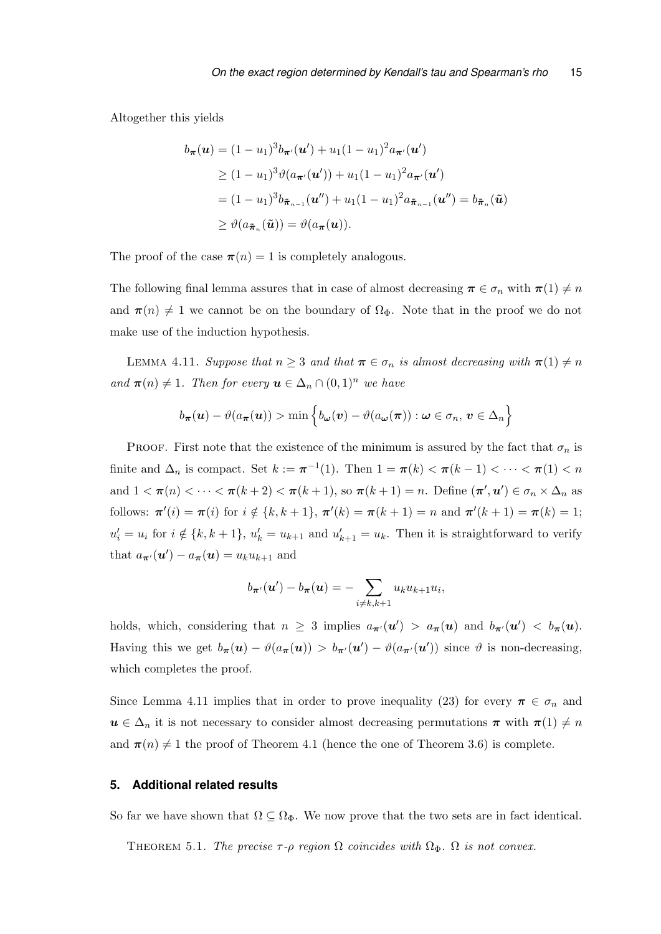Altogether this yields

$$
b_{\pi}(\mathbf{u}) = (1 - u_1)^3 b_{\pi'}(\mathbf{u}') + u_1 (1 - u_1)^2 a_{\pi'}(\mathbf{u}')
$$
  
\n
$$
\geq (1 - u_1)^3 \vartheta(a_{\pi'}(\mathbf{u}')) + u_1 (1 - u_1)^2 a_{\pi'}(\mathbf{u}')
$$
  
\n
$$
= (1 - u_1)^3 b_{\tilde{\pi}_{n-1}}(\mathbf{u}'') + u_1 (1 - u_1)^2 a_{\tilde{\pi}_{n-1}}(\mathbf{u}'') = b_{\tilde{\pi}_n}(\tilde{\mathbf{u}})
$$
  
\n
$$
\geq \vartheta(a_{\tilde{\pi}_n}(\tilde{\mathbf{u}})) = \vartheta(a_{\pi}(\mathbf{u})).
$$

The proof of the case  $\pi(n) = 1$  is completely analogous.

The following final lemma assures that in case of almost decreasing  $\pi \in \sigma_n$  with  $\pi(1) \neq n$ and  $\pi(n) \neq 1$  we cannot be on the boundary of  $\Omega_{\Phi}$ . Note that in the proof we do not make use of the induction hypothesis.

LEMMA 4.11. Suppose that  $n \geq 3$  and that  $\pi \in \sigma_n$  is almost decreasing with  $\pi(1) \neq n$ and  $\pi(n) \neq 1$ . Then for every  $u \in \Delta_n \cap (0,1)^n$  we have

$$
b_{\boldsymbol{\pi}}(\boldsymbol{u}) - \vartheta(a_{\boldsymbol{\pi}}(\boldsymbol{u})) > \min \left\{ b_{\boldsymbol{\omega}}(\boldsymbol{v}) - \vartheta(a_{\boldsymbol{\omega}}(\boldsymbol{\pi})) : \boldsymbol{\omega} \in \sigma_n, \, \boldsymbol{v} \in \Delta_n \right\}
$$

PROOF. First note that the existence of the minimum is assured by the fact that  $\sigma_n$  is finite and  $\Delta_n$  is compact. Set  $k := \pi^{-1}(1)$ . Then  $1 = \pi(k) < \pi(k-1) < \cdots < \pi(1) < n$ and  $1 < \pi(n) < \cdots < \pi(k+2) < \pi(k+1)$ , so  $\pi(k+1) = n$ . Define  $(\pi', u') \in \sigma_n \times \Delta_n$  as follows:  $\pi'(i) = \pi(i)$  for  $i \notin \{k, k+1\}, \pi'(k) = \pi(k+1) = n$  and  $\pi'(k+1) = \pi(k) = 1$ ;  $u'_i = u_i$  for  $i \notin \{k, k+1\}$ ,  $u'_k = u_{k+1}$  and  $u'_{k+1} = u_k$ . Then it is straightforward to verify that  $a_{\pi}(\boldsymbol{u}') - a_{\pi}(\boldsymbol{u}) = u_k u_{k+1}$  and

$$
b_{\boldsymbol{\pi}'}(\boldsymbol{u}') - b_{\boldsymbol{\pi}}(\boldsymbol{u}) = -\sum_{i \neq k, k+1} u_k u_{k+1} u_i,
$$

holds, which, considering that  $n \geq 3$  implies  $a_{\pi}(u') > a_{\pi}(u)$  and  $b_{\pi}(u') < b_{\pi}(u)$ . Having this we get  $b_{\pi}(u) - \vartheta(a_{\pi}(u)) > b_{\pi}(u') - \vartheta(a_{\pi}(u'))$  since  $\vartheta$  is non-decreasing, which completes the proof.

Since Lemma 4.11 implies that in order to prove inequality (23) for every  $\pi \in \sigma_n$  and  $u \in \Delta_n$  it is not necessary to consider almost decreasing permutations  $\pi$  with  $\pi(1) \neq n$ and  $\pi(n) \neq 1$  the proof of Theorem 4.1 (hence the one of Theorem 3.6) is complete.

# **5. Additional related results**

So far we have shown that  $\Omega \subseteq \Omega_{\Phi}$ . We now prove that the two sets are in fact identical.

THEOREM 5.1. The precise  $\tau$ - $\rho$  region  $\Omega$  coincides with  $\Omega_{\Phi}$ .  $\Omega$  is not convex.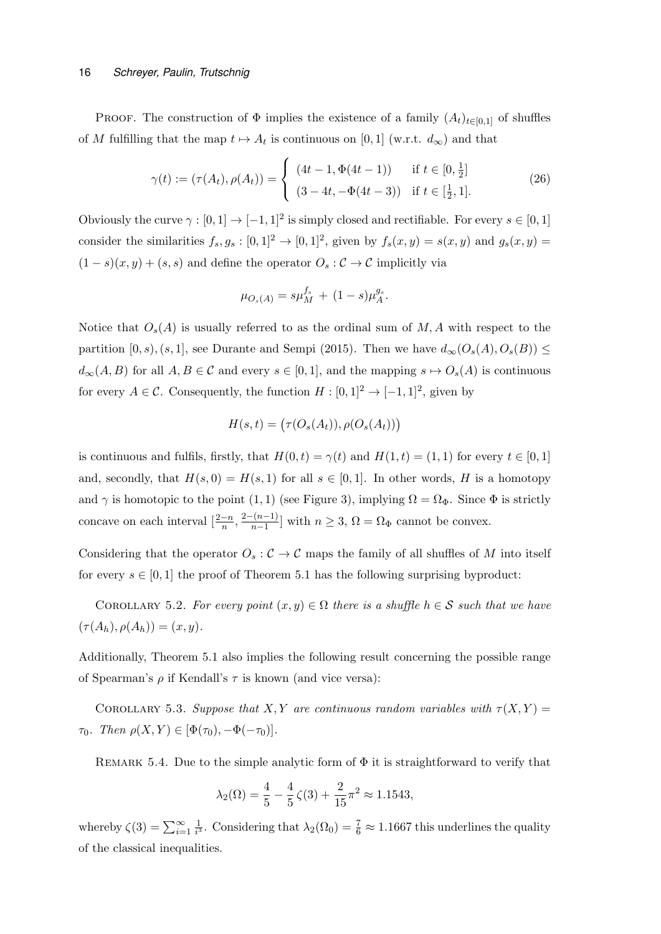PROOF. The construction of  $\Phi$  implies the existence of a family  $(A_t)_{t\in[0,1]}$  of shuffles of M fulfilling that the map  $t \mapsto A_t$  is continuous on [0, 1] (w.r.t.  $d_{\infty}$ ) and that

$$
\gamma(t) := (\tau(A_t), \rho(A_t)) = \begin{cases} (4t - 1, \Phi(4t - 1)) & \text{if } t \in [0, \frac{1}{2}] \\ (3 - 4t, -\Phi(4t - 3)) & \text{if } t \in [\frac{1}{2}, 1]. \end{cases}
$$
(26)

Obviously the curve  $\gamma : [0,1] \to [-1,1]^2$  is simply closed and rectifiable. For every  $s \in [0,1]$ consider the similarities  $f_s, g_s : [0,1]^2 \to [0,1]^2$ , given by  $f_s(x,y) = s(x,y)$  and  $g_s(x,y) =$  $(1-s)(x, y) + (s, s)$  and define the operator  $O_s : \mathcal{C} \to \mathcal{C}$  implicitly via

$$
\mu_{O_s(A)} = s\mu_M^{f_s} + (1-s)\mu_A^{g_s}.
$$

Notice that  $O_s(A)$  is usually referred to as the ordinal sum of M, A with respect to the partition  $[0, s), (s, 1]$ , see Durante and Sempi (2015). Then we have  $d_{\infty}(O_s(A), O_s(B)) \le$  $d_{\infty}(A, B)$  for all  $A, B \in \mathcal{C}$  and every  $s \in [0, 1]$ , and the mapping  $s \mapsto O_s(A)$  is continuous for every  $A \in \mathcal{C}$ . Consequently, the function  $H : [0,1]^2 \to [-1,1]^2$ , given by

$$
H(s,t) = (\tau(O_s(A_t)), \rho(O_s(A_t)))
$$

is continuous and fulfils, firstly, that  $H(0, t) = \gamma(t)$  and  $H(1, t) = (1, 1)$  for every  $t \in [0, 1]$ and, secondly, that  $H(s, 0) = H(s, 1)$  for all  $s \in [0, 1]$ . In other words, H is a homotopy and  $\gamma$  is homotopic to the point (1, 1) (see Figure 3), implying  $\Omega = \Omega_{\Phi}$ . Since  $\Phi$  is strictly concave on each interval  $\left[\frac{2-n}{n}, \frac{2-(n-1)}{n-1}\right]$  $\frac{n(n-1)}{n-1}$  with  $n \geq 3$ ,  $\Omega = \Omega_{\Phi}$  cannot be convex.

Considering that the operator  $O_s : \mathcal{C} \to \mathcal{C}$  maps the family of all shuffles of M into itself for every  $s \in [0,1]$  the proof of Theorem 5.1 has the following surprising byproduct:

COROLLARY 5.2. For every point  $(x, y) \in \Omega$  there is a shuffle  $h \in \mathcal{S}$  such that we have  $(\tau(A_h), \rho(A_h)) = (x, y).$ 

Additionally, Theorem 5.1 also implies the following result concerning the possible range of Spearman's  $\rho$  if Kendall's  $\tau$  is known (and vice versa):

COROLLARY 5.3. Suppose that X, Y are continuous random variables with  $\tau(X, Y) =$  $\tau_0$ . Then  $\rho(X, Y) \in [\Phi(\tau_0), -\Phi(-\tau_0)].$ 

REMARK 5.4. Due to the simple analytic form of  $\Phi$  it is straightforward to verify that

$$
\lambda_2(\Omega) = \frac{4}{5} - \frac{4}{5}\zeta(3) + \frac{2}{15}\pi^2 \approx 1.1543,
$$

whereby  $\zeta(3) = \sum_{i=1}^{\infty} \frac{1}{i^3}$  $\frac{1}{i^3}$ . Considering that  $\lambda_2(\Omega_0) = \frac{7}{6} \approx 1.1667$  this underlines the quality of the classical inequalities.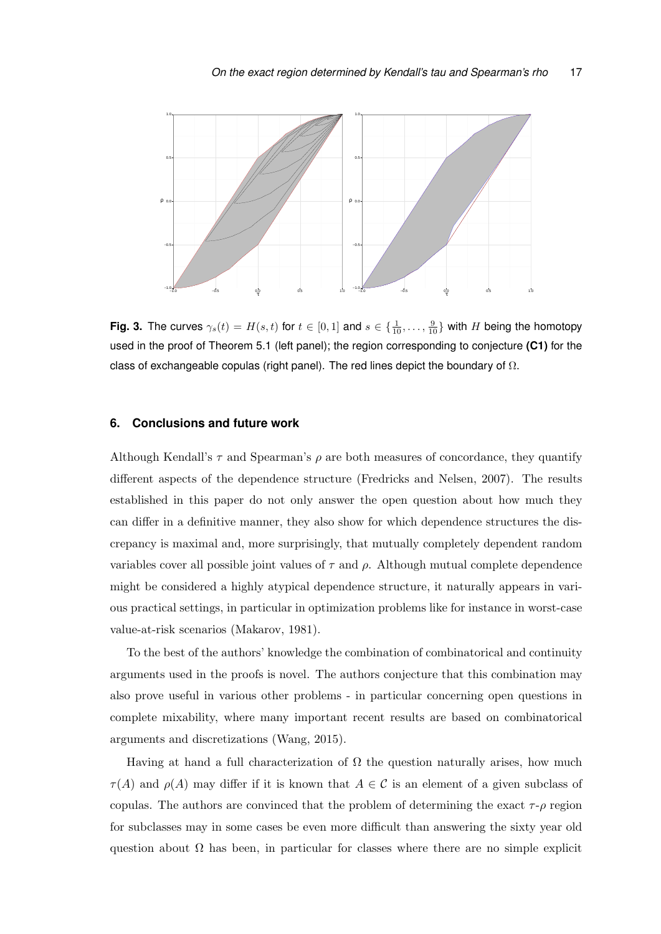

**Fig. 3.** The curves  $\gamma_s(t) = H(s, t)$  for  $t \in [0, 1]$  and  $s \in \{\frac{1}{10}, \ldots, \frac{9}{10}\}$  with H being the homotopy used in the proof of Theorem 5.1 (left panel); the region corresponding to conjecture **(C1)** for the class of exchangeable copulas (right panel). The red lines depict the boundary of  $\Omega$ .

# **6. Conclusions and future work**

Although Kendall's  $\tau$  and Spearman's  $\rho$  are both measures of concordance, they quantify different aspects of the dependence structure (Fredricks and Nelsen, 2007). The results established in this paper do not only answer the open question about how much they can differ in a definitive manner, they also show for which dependence structures the discrepancy is maximal and, more surprisingly, that mutually completely dependent random variables cover all possible joint values of  $\tau$  and  $\rho$ . Although mutual complete dependence might be considered a highly atypical dependence structure, it naturally appears in various practical settings, in particular in optimization problems like for instance in worst-case value-at-risk scenarios (Makarov, 1981).

To the best of the authors' knowledge the combination of combinatorical and continuity arguments used in the proofs is novel. The authors conjecture that this combination may also prove useful in various other problems - in particular concerning open questions in complete mixability, where many important recent results are based on combinatorical arguments and discretizations (Wang, 2015).

Having at hand a full characterization of  $\Omega$  the question naturally arises, how much  $\tau(A)$  and  $\rho(A)$  may differ if it is known that  $A \in \mathcal{C}$  is an element of a given subclass of copulas. The authors are convinced that the problem of determining the exact  $\tau$ -ρ region for subclasses may in some cases be even more difficult than answering the sixty year old question about  $\Omega$  has been, in particular for classes where there are no simple explicit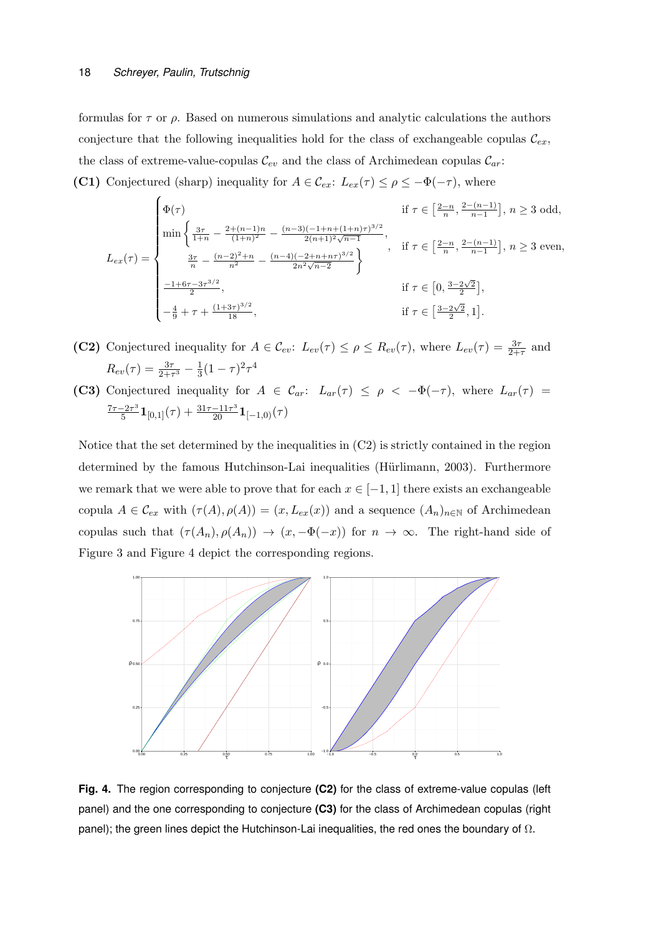formulas for  $\tau$  or  $\rho$ . Based on numerous simulations and analytic calculations the authors conjecture that the following inequalities hold for the class of exchangeable copulas  $\mathcal{C}_{ex}$ , the class of extreme-value-copulas  $\mathcal{C}_{ev}$  and the class of Archimedean copulas  $\mathcal{C}_{ar}$ : (C1) Conjectured (sharp) inequality for  $A \in \mathcal{C}_{ex}$ :  $L_{ex}(\tau) \leq \rho \leq -\Phi(-\tau)$ , where

$$
L_{ex}(\tau) = \begin{cases} \Phi(\tau) & \text{if } \tau \in \left[\frac{2-n}{n}, \frac{2-(n-1)}{n-1}\right], n \ge 3 \text{ odd,} \\ \min\left\{\frac{3\tau}{1+n} - \frac{2+(n-1)n}{(1+n)^2} - \frac{(n-3)(-1+n+(1+n)\tau)^{3/2}}{2(n+1)^2\sqrt{n-1}}, \right. \\ \frac{3\tau}{n} - \frac{(n-2)^2+n}{n^2} - \frac{(n-4)(-2+n+n\tau)^{3/2}}{2n^2\sqrt{n-2}} \right\} & \text{if } \tau \in \left[\frac{2-n}{n}, \frac{2-(n-1)}{n-1}\right], n \ge 3 \text{ even,} \\ \\ \frac{-1+6\tau-3\tau^{3/2}}{2}, & \text{if } \tau \in \left[0, \frac{3-2\sqrt{2}}{2}\right], \\ -\frac{4}{9} + \tau + \frac{(1+3\tau)^{3/2}}{18}, & \text{if } \tau \in \left[\frac{3-2\sqrt{2}}{2}, 1\right]. \end{cases}
$$

- (C2) Conjectured inequality for  $A \in \mathcal{C}_{ev}$ :  $L_{ev}(\tau) \le \rho \le R_{ev}(\tau)$ , where  $L_{ev}(\tau) = \frac{3\tau}{2+\tau}$  and  $R_{ev}(\tau) = \frac{3\tau}{2+\tau^3} - \frac{1}{3}$  $\frac{1}{3}(1-\tau)^2\tau^4$
- (C3) Conjectured inequality for  $A \in \mathcal{C}_{ar}$ :  $L_{ar}(\tau) \leq \rho < -\Phi(-\tau)$ , where  $L_{ar}(\tau)$  $7\tau-2\tau^3$  $\frac{-2\tau^3}{5} {\bf 1}_{[0,1]}(\tau) + \frac{31\tau-11\tau^3}{20} {\bf 1}_{[-1,0)}(\tau)$

Notice that the set determined by the inequalities in (C2) is strictly contained in the region determined by the famous Hutchinson-Lai inequalities (Hürlimann, 2003). Furthermore we remark that we were able to prove that for each  $x \in [-1, 1]$  there exists an exchangeable copula  $A \in \mathcal{C}_{ex}$  with  $(\tau(A), \rho(A)) = (x, L_{ex}(x))$  and a sequence  $(A_n)_{n \in \mathbb{N}}$  of Archimedean copulas such that  $(\tau(A_n), \rho(A_n)) \to (x, -\Phi(-x))$  for  $n \to \infty$ . The right-hand side of Figure 3 and Figure 4 depict the corresponding regions.



**Fig. 4.** The region corresponding to conjecture **(C2)** for the class of extreme-value copulas (left panel) and the one corresponding to conjecture **(C3)** for the class of Archimedean copulas (right panel); the green lines depict the Hutchinson-Lai inequalities, the red ones the boundary of  $\Omega$ .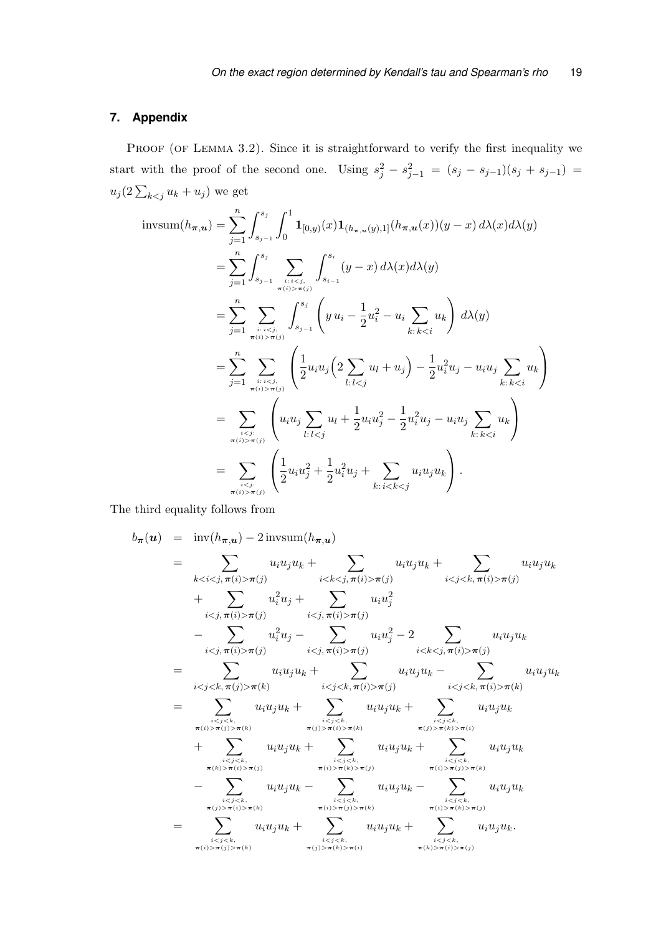# **7. Appendix**

PROOF (OF LEMMA 3.2). Since it is straightforward to verify the first inequality we start with the proof of the second one. Using  $s_j^2 - s_{j-1}^2 = (s_j - s_{j-1})(s_j + s_{j-1}) =$  $u_j(2\sum_{k\leq j}u_k+u_j)$  we get

$$
\begin{split} \text{invsum}(h_{\pi,u}) &= \sum_{j=1}^{n} \int_{s_{j-1}}^{s_j} \int_{0}^{1} \mathbf{1}_{[0,y)}(x) \mathbf{1}_{(h_{\pi,u}(y),1]}(h_{\pi,u}(x))(y-x) \, d\lambda(x) d\lambda(y) \\ &= \sum_{j=1}^{n} \int_{s_{j-1}}^{s_j} \sum_{\pi(i) > \pi(j)} \int_{s_{i-1}}^{s_i} (y-x) \, d\lambda(x) d\lambda(y) \\ &= \sum_{j=1}^{n} \sum_{\pi(i) > \pi(j)} \int_{s_{j-1}}^{s_j} \left( y \, u_i - \frac{1}{2} u_i^2 - u_i \sum_{k:k \pi(j)} \left( \frac{1}{2} u_i u_j \left( 2 \sum_{l:l \pi(j)} \left( u_i u_j \sum_{l:l \pi(j)} \left( \frac{1}{2} u_i u_j^2 + \frac{1}{2} u_i^2 u_j + \sum_{k:i
$$

The third equality follows from

$$
b_{\pi}(u) = \text{inv}(h_{\pi,u}) - 2 \text{invsum}(h_{\pi,u})
$$
\n
$$
= \sum_{k < i < j, \pi(i) > \pi(j)} u_i u_j u_k + \sum_{i < k < j, \pi(i) > \pi(j)} u_i u_j u_k + \sum_{i < j < k, \pi(i) > \pi(j)} u_i u_j u_k + \sum_{i < j, \pi(i) > \pi(j)} u_i u_j u_j + \sum_{i < j, \pi(i) > \pi(j)} u_i u_j u_j + \sum_{i < j, \pi(i) > \pi(j)} u_i u_j u_j + \sum_{i < j, \pi(i) > \pi(j)} u_i u_j u_k - \sum_{i < j < k, \pi(j) > \pi(k)} u_i u_j u_k + \sum_{i < j < k, \pi(i) > \pi(j)} u_i u_j u_k + \sum_{i < j < k, \pi(i) > \pi(k)} u_i u_j u_k + \sum_{i < j < k, \pi(i) > \pi(k)} u_i u_j u_k + \sum_{i < j < k, \pi(i) > \pi(k)} u_i u_j u_k + \sum_{i < j < k, \pi(i) > \pi(k)} u_i u_j u_k + \sum_{i < j < k, \pi(i) > \pi(i)} u_i u_j u_k + \sum_{i < j < k, \pi(i) > \pi(i) > \pi(i)} u_i u_j u_k + \sum_{i < j < k, \pi(i) > \pi(i) > \pi(i)} u_i u_j u_k + \sum_{i < j < k, \pi(i) > \pi(i) > \pi(k)} u_i u_j u_k + \sum_{i < j < k, \pi(i) > \pi(i) > \pi(k)} u_i u_j u_k - \sum_{i < j < k, \pi(i) > \pi(i) > \pi(k)} u_i u_j u_k + \sum_{i < j < k, \pi(i) > \pi(i) > \pi(k)} u_i u_j u_k + \sum_{i < j < k, \pi(i) > \pi(i) > \pi(k)} u_i u_j u_k + \sum_{i < j < k, \pi(i) > \pi(i) > \pi(k
$$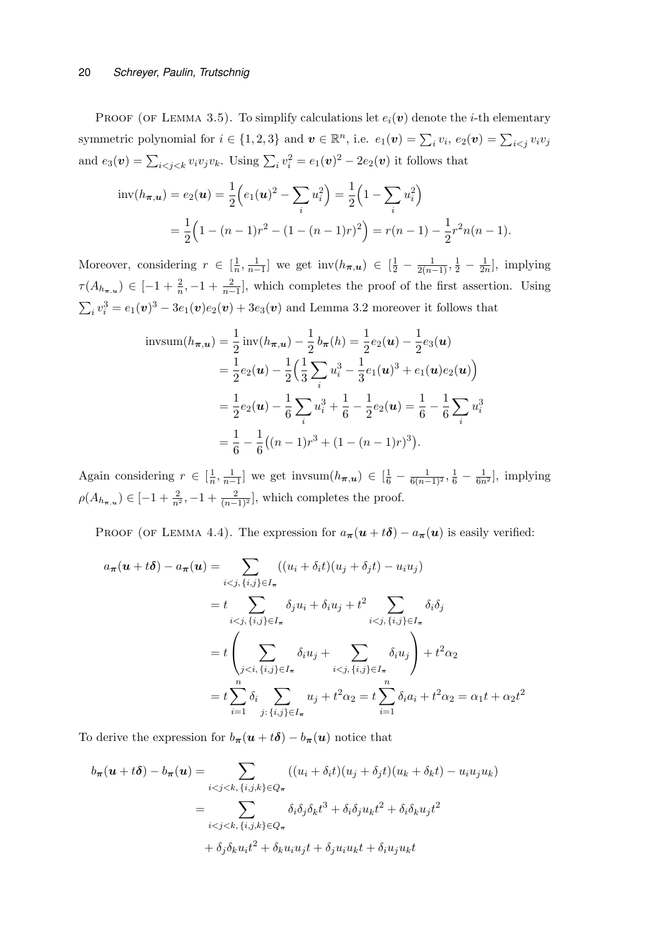PROOF (OF LEMMA 3.5). To simplify calculations let  $e_i(\boldsymbol{v})$  denote the *i*-th elementary symmetric polynomial for  $i \in \{1,2,3\}$  and  $\boldsymbol{v} \in \mathbb{R}^n$ , i.e.  $e_1(\boldsymbol{v}) = \sum_i v_i$ ,  $e_2(\boldsymbol{v}) = \sum_{i \leq j} v_i v_j$ and  $e_3(\boldsymbol{v}) = \sum_{i < j < k} v_i v_j v_k$ . Using  $\sum_i v_i^2 = e_1(\boldsymbol{v})^2 - 2e_2(\boldsymbol{v})$  it follows that

$$
\text{inv}(h_{\boldsymbol{\pi},\boldsymbol{u}}) = e_2(\boldsymbol{u}) = \frac{1}{2} \Big( e_1(\boldsymbol{u})^2 - \sum_i u_i^2 \Big) = \frac{1}{2} \Big( 1 - \sum_i u_i^2 \Big)
$$
  
=  $\frac{1}{2} \Big( 1 - (n-1)r^2 - (1 - (n-1)r)^2 \Big) = r(n-1) - \frac{1}{2} r^2 n(n-1).$ 

Moreover, considering  $r \in \left[\frac{1}{n}\right]$  $\frac{1}{n}, \frac{1}{n-1}$  we get  $\text{inv}(h_{\pi, u}) \in \left[\frac{1}{2} - \frac{1}{2(n-1)}, \frac{1}{2} - \frac{1}{2n}\right]$  $\frac{1}{2n}$ , implying  $\tau(A_{h_{\pi,u}}) \in [-1+\frac{2}{n},-1+\frac{2}{n-1}],$  which completes the proof of the first assertion. Using  $\sum_i v_i^3 = e_1(\boldsymbol{v})^3 - 3e_1(\boldsymbol{v})e_2(\boldsymbol{v}) + 3e_3(\boldsymbol{v})$  and Lemma 3.2 moreover it follows that

$$
\begin{split} \text{invsum}(h_{\boldsymbol{\pi},\boldsymbol{u}}) &= \frac{1}{2} \text{inv}(h_{\boldsymbol{\pi},\boldsymbol{u}}) - \frac{1}{2} b_{\boldsymbol{\pi}}(h) = \frac{1}{2} e_2(\boldsymbol{u}) - \frac{1}{2} e_3(\boldsymbol{u}) \\ &= \frac{1}{2} e_2(\boldsymbol{u}) - \frac{1}{2} \Big( \frac{1}{3} \sum_i u_i^3 - \frac{1}{3} e_1(\boldsymbol{u})^3 + e_1(\boldsymbol{u}) e_2(\boldsymbol{u}) \Big) \\ &= \frac{1}{2} e_2(\boldsymbol{u}) - \frac{1}{6} \sum_i u_i^3 + \frac{1}{6} - \frac{1}{2} e_2(\boldsymbol{u}) = \frac{1}{6} - \frac{1}{6} \sum_i u_i^3 \\ &= \frac{1}{6} - \frac{1}{6} \big( (n-1)r^3 + (1 - (n-1)r)^3 \big). \end{split}
$$

Again considering  $r \in \left[\frac{1}{n}\right]$  $\frac{1}{n}, \frac{1}{n-1}$  we get invsum $(h_{\pi,u}) \in [\frac{1}{6} - \frac{1}{6(n-1)^2}, \frac{1}{6} - \frac{1}{6n^2}]$ , implying  $\rho(A_{h_{\pi,u}}) \in [-1 + \frac{2}{n^2}, -1 + \frac{2}{(n-1)^2}]$ , which completes the proof.

PROOF (OF LEMMA 4.4). The expression for  $a_{\pi}(u + t\delta) - a_{\pi}(u)$  is easily verified:

$$
a_{\pi}(\mathbf{u} + t\boldsymbol{\delta}) - a_{\pi}(\mathbf{u}) = \sum_{i < j, \{i, j\} \in I_{\pi}} ((u_i + \delta_i t)(u_j + \delta_j t) - u_i u_j)
$$
\n
$$
= t \sum_{i < j, \{i, j\} \in I_{\pi}} \delta_j u_i + \delta_i u_j + t^2 \sum_{i < j, \{i, j\} \in I_{\pi}} \delta_i \delta_j
$$
\n
$$
= t \left( \sum_{j < i, \{i, j\} \in I_{\pi}} \delta_i u_j + \sum_{i < j, \{i, j\} \in I_{\pi}} \delta_i u_j \right) + t^2 \alpha_2
$$
\n
$$
= t \sum_{i=1}^n \delta_i \sum_{j: \{i, j\} \in I_{\pi}} u_j + t^2 \alpha_2 = t \sum_{i=1}^n \delta_i a_i + t^2 \alpha_2 = \alpha_1 t + \alpha_2 t^2
$$

To derive the expression for  $b_{\pi}(u + t\delta) - b_{\pi}(u)$  notice that

$$
b_{\pi}(\boldsymbol{u} + t\boldsymbol{\delta}) - b_{\pi}(\boldsymbol{u}) = \sum_{i < j < k, \{i, j, k\} \in Q_{\pi}} ((u_i + \delta_i t)(u_j + \delta_j t)(u_k + \delta_k t) - u_i u_j u_k)
$$
\n
$$
= \sum_{i < j < k, \{i, j, k\} \in Q_{\pi}} \delta_i \delta_j \delta_k t^3 + \delta_i \delta_j u_k t^2 + \delta_i \delta_k u_j t^2
$$
\n
$$
+ \delta_j \delta_k u_i t^2 + \delta_k u_i u_j t + \delta_j u_i u_k t + \delta_i u_j u_k t
$$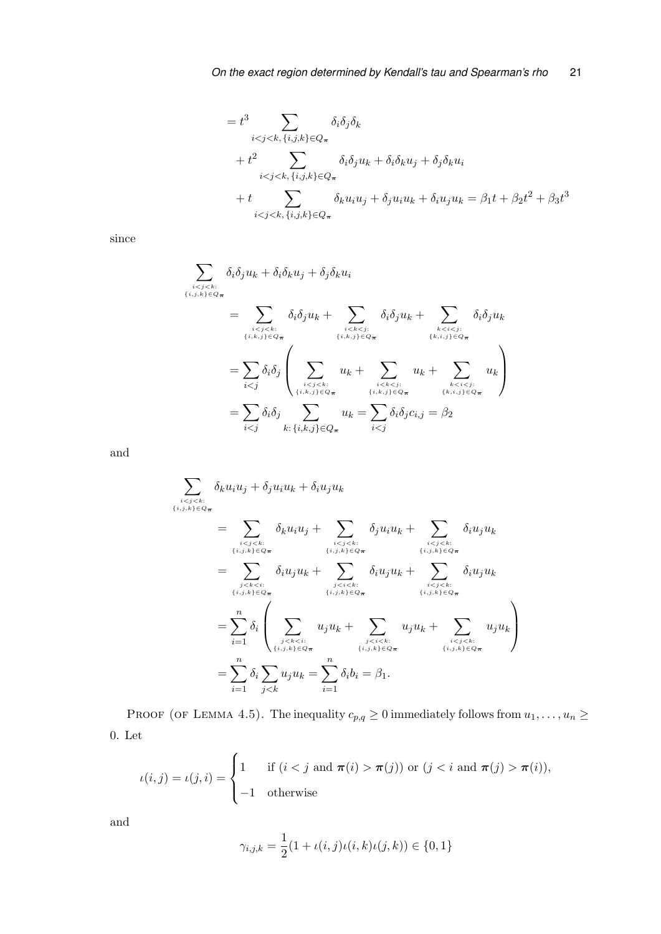$$
= t3 \sum_{i < j < k, \{i, j, k\} \in Q_{\pi}} \delta_i \delta_j \delta_k
$$
  
+ 
$$
t2 \sum_{i < j < k, \{i, j, k\} \in Q_{\pi}} \delta_i \delta_j u_k + \delta_i \delta_k u_j + \delta_j \delta_k u_i
$$
  
+ 
$$
t \sum_{i < j < k, \{i, j, k\} \in Q_{\pi}} \delta_k u_i u_j + \delta_j u_i u_k + \delta_i u_j u_k = \beta_1 t + \beta_2 t^2 + \beta_3 t^3
$$

since

$$
\sum_{\substack{i\n
$$
= \sum_{\substack{i\n
$$
= \sum_{i\n
$$
= \sum_{i
$$
$$
$$
$$

and

$$
\sum_{\substack{i
$$

PROOF (OF LEMMA 4.5). The inequality  $c_{p,q} \ge 0$  immediately follows from  $u_1, \ldots, u_n \ge$ 0. Let

$$
\iota(i,j) = \iota(j,i) = \begin{cases} 1 & \text{if } (i < j \text{ and } \pi(i) > \pi(j)) \text{ or } (j < i \text{ and } \pi(j) > \pi(i)), \\ -1 & \text{otherwise} \end{cases}
$$

and

$$
\gamma_{i,j,k} = \frac{1}{2}(1 + \iota(i,j)\iota(i,k)\iota(j,k)) \in \{0,1\}
$$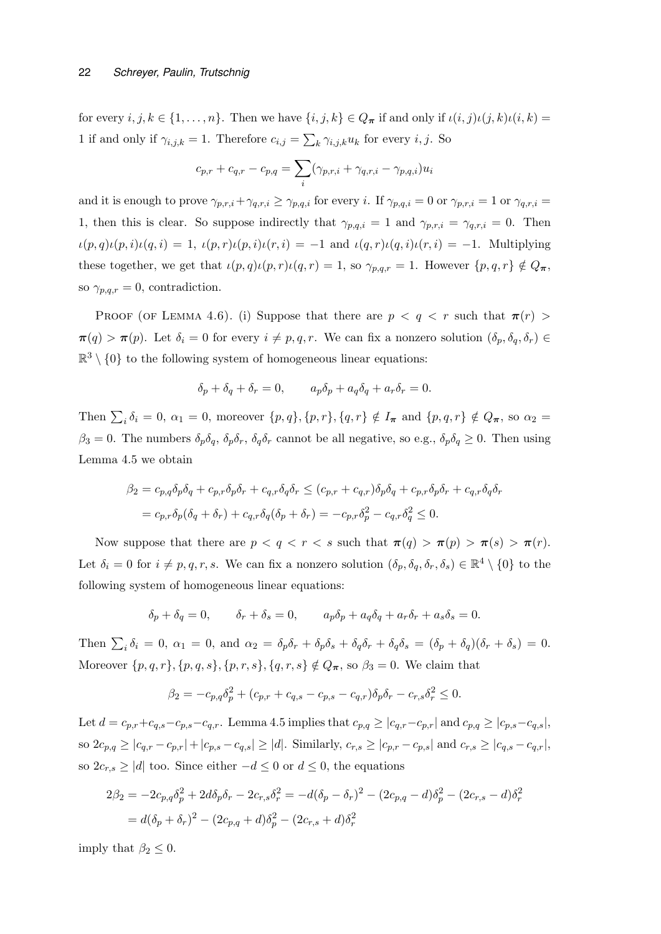for every  $i, j, k \in \{1, \ldots, n\}$ . Then we have  $\{i, j, k\} \in Q_{\pi}$  if and only if  $\iota(i, j)\iota(j, k)\iota(i, k) =$ 1 if and only if  $\gamma_{i,j,k} = 1$ . Therefore  $c_{i,j} = \sum_k \gamma_{i,j,k} u_k$  for every  $i, j$ . So

$$
c_{p,r} + c_{q,r} - c_{p,q} = \sum_{i} (\gamma_{p,r,i} + \gamma_{q,r,i} - \gamma_{p,q,i}) u_i
$$

and it is enough to prove  $\gamma_{p,r,i}+\gamma_{q,r,i} \geq \gamma_{p,q,i}$  for every i. If  $\gamma_{p,q,i}=0$  or  $\gamma_{p,r,i}=1$  or  $\gamma_{q,r,i}=1$ 1, then this is clear. So suppose indirectly that  $\gamma_{p,q,i} = 1$  and  $\gamma_{p,r,i} = \gamma_{q,r,i} = 0$ . Then  $\iota(p,q)\iota(p,i)\iota(q,i) = 1$ ,  $\iota(p,r)\iota(p,i)\iota(r,i) = -1$  and  $\iota(q,r)\iota(q,i)\iota(r,i) = -1$ . Multiplying these together, we get that  $\iota(p,q)\iota(p,r)\iota(q,r) = 1$ , so  $\gamma_{p,q,r} = 1$ . However  $\{p,q,r\} \notin Q_{\pi}$ , so  $\gamma_{p,q,r} = 0$ , contradiction.

PROOF (OF LEMMA 4.6). (i) Suppose that there are  $p < q < r$  such that  $\pi(r) >$  $\pi(q) > \pi(p)$ . Let  $\delta_i = 0$  for every  $i \neq p, q, r$ . We can fix a nonzero solution  $(\delta_p, \delta_q, \delta_r) \in$  $\mathbb{R}^3 \setminus \{0\}$  to the following system of homogeneous linear equations:

$$
\delta_p + \delta_q + \delta_r = 0, \qquad a_p \delta_p + a_q \delta_q + a_r \delta_r = 0.
$$

Then  $\sum_i \delta_i = 0$ ,  $\alpha_1 = 0$ , moreover  $\{p, q\}$ ,  $\{p, r\}$ ,  $\{q, r\} \notin I_{\pi}$  and  $\{p, q, r\} \notin Q_{\pi}$ , so  $\alpha_2 =$  $\beta_3 = 0$ . The numbers  $\delta_p \delta_q$ ,  $\delta_p \delta_r$ ,  $\delta_q \delta_r$  cannot be all negative, so e.g.,  $\delta_p \delta_q \geq 0$ . Then using Lemma 4.5 we obtain

$$
\beta_2 = c_{p,q}\delta_p\delta_q + c_{p,r}\delta_p\delta_r + c_{q,r}\delta_q\delta_r \le (c_{p,r} + c_{q,r})\delta_p\delta_q + c_{p,r}\delta_p\delta_r + c_{q,r}\delta_q\delta_r
$$

$$
= c_{p,r}\delta_p(\delta_q + \delta_r) + c_{q,r}\delta_q(\delta_p + \delta_r) = -c_{p,r}\delta_p^2 - c_{q,r}\delta_q^2 \le 0.
$$

Now suppose that there are  $p < q < r < s$  such that  $\pi(q) > \pi(p) > \pi(s) > \pi(r)$ . Let  $\delta_i = 0$  for  $i \neq p, q, r, s$ . We can fix a nonzero solution  $(\delta_p, \delta_q, \delta_r, \delta_s) \in \mathbb{R}^4 \setminus \{0\}$  to the following system of homogeneous linear equations:

$$
\delta_p+\delta_q=0,\qquad \delta_r+\delta_s=0,\qquad a_p\delta_p+a_q\delta_q+a_r\delta_r+a_s\delta_s=0.
$$

Then  $\sum_i \delta_i = 0$ ,  $\alpha_1 = 0$ , and  $\alpha_2 = \delta_p \delta_r + \delta_p \delta_s + \delta_q \delta_r + \delta_q \delta_s = (\delta_p + \delta_q)(\delta_r + \delta_s) = 0$ . Moreover  $\{p, q, r\}, \{p, q, s\}, \{p, r, s\}, \{q, r, s\} \notin Q_{\pi}$ , so  $\beta_3 = 0$ . We claim that

$$
\beta_2 = -c_{p,q}\delta_p^2 + (c_{p,r} + c_{q,s} - c_{p,s} - c_{q,r})\delta_p\delta_r - c_{r,s}\delta_r^2 \le 0.
$$

Let  $d = c_{p,r} + c_{q,s} - c_{p,s} - c_{q,r}$ . Lemma 4.5 implies that  $c_{p,q} \ge |c_{q,r} - c_{p,r}|$  and  $c_{p,q} \ge |c_{p,s} - c_{q,s}|$ , so  $2c_{p,q} \ge |c_{q,r} - c_{p,r}| + |c_{p,s} - c_{q,s}| \ge |d|$ . Similarly,  $c_{r,s} \ge |c_{p,r} - c_{p,s}|$  and  $c_{r,s} \ge |c_{q,s} - c_{q,r}|$ , so  $2c_{r,s} \ge |d|$  too. Since either  $-d \le 0$  or  $d \le 0$ , the equations

$$
2\beta_2 = -2c_{p,q}\delta_p^2 + 2d\delta_p\delta_r - 2c_{r,s}\delta_r^2 = -d(\delta_p - \delta_r)^2 - (2c_{p,q} - d)\delta_p^2 - (2c_{r,s} - d)\delta_r^2
$$
  
=  $d(\delta_p + \delta_r)^2 - (2c_{p,q} + d)\delta_p^2 - (2c_{r,s} + d)\delta_r^2$ 

imply that  $\beta_2 \leq 0$ .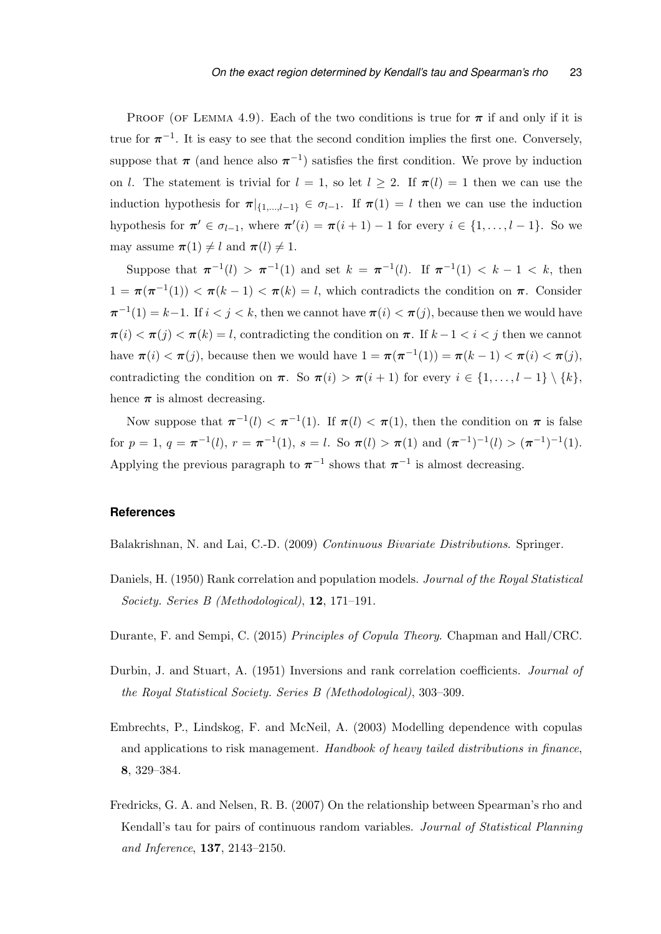PROOF (OF LEMMA 4.9). Each of the two conditions is true for  $\pi$  if and only if it is true for  $\pi^{-1}$ . It is easy to see that the second condition implies the first one. Conversely, suppose that  $\pi$  (and hence also  $\pi^{-1}$ ) satisfies the first condition. We prove by induction on l. The statement is trivial for  $l = 1$ , so let  $l \geq 2$ . If  $\pi(l) = 1$  then we can use the induction hypothesis for  $\pi|_{\{1,\ldots,l-1\}} \in \sigma_{l-1}$ . If  $\pi(1) = l$  then we can use the induction hypothesis for  $\pi' \in \sigma_{l-1}$ , where  $\pi'(i) = \pi(i+1) - 1$  for every  $i \in \{1, ..., l-1\}$ . So we may assume  $\pi(1) \neq l$  and  $\pi(l) \neq 1$ .

Suppose that  $\pi^{-1}(l) > \pi^{-1}(1)$  and set  $k = \pi^{-1}(l)$ . If  $\pi^{-1}(1) < k - 1 < k$ , then  $1 = \pi(\pi^{-1}(1)) < \pi(k-1) < \pi(k) = l$ , which contradicts the condition on  $\pi$ . Consider  $\pi^{-1}(1) = k-1$ . If  $i < j < k$ , then we cannot have  $\pi(i) < \pi(j)$ , because then we would have  $\pi(i) < \pi(j) < \pi(k) = l$ , contradicting the condition on  $\pi$ . If  $k - 1 < i < j$  then we cannot have  $\pi(i) < \pi(j)$ , because then we would have  $1 = \pi(\pi^{-1}(1)) = \pi(k-1) < \pi(i) < \pi(j)$ , contradicting the condition on  $\pi$ . So  $\pi(i) > \pi(i+1)$  for every  $i \in \{1, ..., l-1\} \setminus \{k\},\$ hence  $\pi$  is almost decreasing.

Now suppose that  $\pi^{-1}(l) < \pi^{-1}(1)$ . If  $\pi(l) < \pi(1)$ , then the condition on  $\pi$  is false for  $p = 1, q = \pi^{-1}(l), r = \pi^{-1}(1), s = l$ . So  $\pi(l) > \pi(1)$  and  $(\pi^{-1})^{-1}(l) > (\pi^{-1})^{-1}(1)$ . Applying the previous paragraph to  $\pi^{-1}$  shows that  $\pi^{-1}$  is almost decreasing.

# **References**

Balakrishnan, N. and Lai, C.-D. (2009) Continuous Bivariate Distributions. Springer.

- Daniels, H. (1950) Rank correlation and population models. *Journal of the Royal Statistical* Society. Series B (Methodological), 12, 171–191.
- Durante, F. and Sempi, C. (2015) Principles of Copula Theory. Chapman and Hall/CRC.
- Durbin, J. and Stuart, A. (1951) Inversions and rank correlation coefficients. Journal of the Royal Statistical Society. Series B (Methodological), 303–309.
- Embrechts, P., Lindskog, F. and McNeil, A. (2003) Modelling dependence with copulas and applications to risk management. Handbook of heavy tailed distributions in finance, 8, 329–384.
- Fredricks, G. A. and Nelsen, R. B. (2007) On the relationship between Spearman's rho and Kendall's tau for pairs of continuous random variables. Journal of Statistical Planning and Inference, 137, 2143–2150.